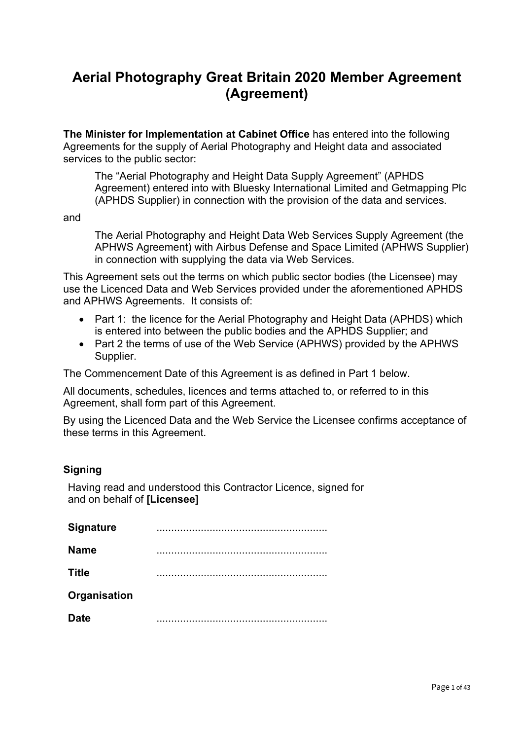# **Aerial Photography Great Britain 2020 Member Agreement (Agreement)**

**The Minister for Implementation at Cabinet Office** has entered into the following Agreements for the supply of Aerial Photography and Height data and associated services to the public sector:

The "Aerial Photography and Height Data Supply Agreement" (APHDS Agreement) entered into with Bluesky International Limited and Getmapping Plc (APHDS Supplier) in connection with the provision of the data and services.

and

The Aerial Photography and Height Data Web Services Supply Agreement (the APHWS Agreement) with Airbus Defense and Space Limited (APHWS Supplier) in connection with supplying the data via Web Services.

This Agreement sets out the terms on which public sector bodies (the Licensee) may use the Licenced Data and Web Services provided under the aforementioned APHDS and APHWS Agreements. It consists of:

- Part 1: the licence for the Aerial Photography and Height Data (APHDS) which is entered into between the public bodies and the APHDS Supplier; and
- Part 2 the terms of use of the Web Service (APHWS) provided by the APHWS Supplier.

The Commencement Date of this Agreement is as defined in Part 1 below.

All documents, schedules, licences and terms attached to, or referred to in this Agreement, shall form part of this Agreement.

By using the Licenced Data and the Web Service the Licensee confirms acceptance of these terms in this Agreement.

#### **Signing**

Having read and understood this Contractor Licence, signed for and on behalf of **[Licensee]**

| <b>Signature</b> |  |
|------------------|--|
| <b>Name</b>      |  |
| <b>Title</b>     |  |
| Organisation     |  |
| <b>Date</b>      |  |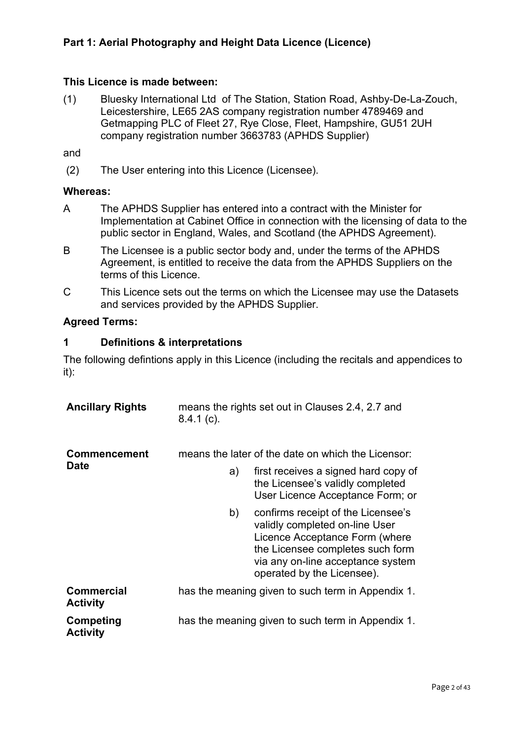#### **This Licence is made between:**

(1) Bluesky International Ltd of The Station, Station Road, Ashby-De-La-Zouch, Leicestershire, LE65 2AS company registration number 4789469 and Getmapping PLC of Fleet 27, Rye Close, Fleet, Hampshire, GU51 2UH company registration number 3663783 (APHDS Supplier)

and

(2) The User entering into this Licence (Licensee).

#### **Whereas:**

- A The APHDS Supplier has entered into a contract with the Minister for Implementation at Cabinet Office in connection with the licensing of data to the public sector in England, Wales, and Scotland (the APHDS Agreement).
- B The Licensee is a public sector body and, under the terms of the APHDS Agreement, is entitled to receive the data from the APHDS Suppliers on the terms of this Licence.
- C This Licence sets out the terms on which the Licensee may use the Datasets and services provided by the APHDS Supplier.

#### **Agreed Terms:**

#### **1 Definitions & interpretations**

The following defintions apply in this Licence (including the recitals and appendices to it):

| <b>Ancillary Rights</b>              | $8.4.1(c)$ .                                       | means the rights set out in Clauses 2.4, 2.7 and                                                                                                                                                              |  |  |
|--------------------------------------|----------------------------------------------------|---------------------------------------------------------------------------------------------------------------------------------------------------------------------------------------------------------------|--|--|
| <b>Commencement</b><br>Date          | means the later of the date on which the Licensor: |                                                                                                                                                                                                               |  |  |
|                                      | a)                                                 | first receives a signed hard copy of<br>the Licensee's validly completed<br>User Licence Acceptance Form; or                                                                                                  |  |  |
|                                      | b)                                                 | confirms receipt of the Licensee's<br>validly completed on-line User<br>Licence Acceptance Form (where<br>the Licensee completes such form<br>via any on-line acceptance system<br>operated by the Licensee). |  |  |
| <b>Commercial</b><br><b>Activity</b> |                                                    | has the meaning given to such term in Appendix 1.                                                                                                                                                             |  |  |
| Competing<br><b>Activity</b>         |                                                    | has the meaning given to such term in Appendix 1.                                                                                                                                                             |  |  |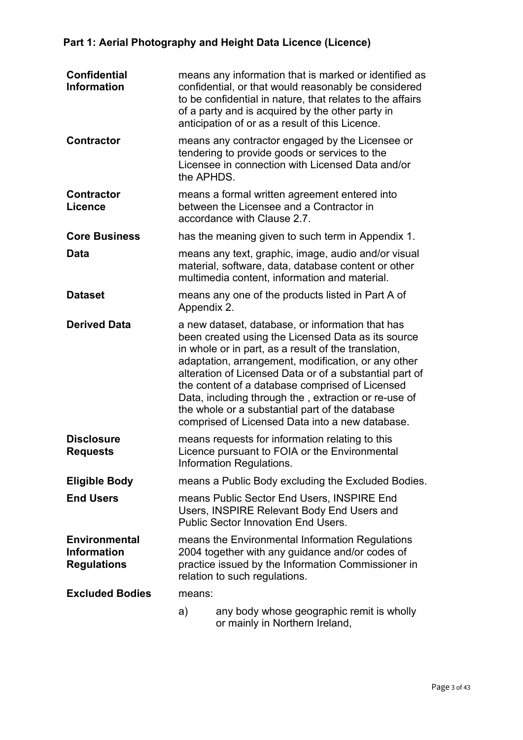| <b>Confidential</b><br><b>Information</b>                        |                                                                                                                                                                                           | means any information that is marked or identified as<br>confidential, or that would reasonably be considered<br>to be confidential in nature, that relates to the affairs<br>of a party and is acquired by the other party in<br>anticipation of or as a result of this Licence.                                                                                                                                                                                                                 |  |
|------------------------------------------------------------------|-------------------------------------------------------------------------------------------------------------------------------------------------------------------------------------------|---------------------------------------------------------------------------------------------------------------------------------------------------------------------------------------------------------------------------------------------------------------------------------------------------------------------------------------------------------------------------------------------------------------------------------------------------------------------------------------------------|--|
| <b>Contractor</b>                                                | means any contractor engaged by the Licensee or<br>tendering to provide goods or services to the<br>Licensee in connection with Licensed Data and/or<br>the APHDS.                        |                                                                                                                                                                                                                                                                                                                                                                                                                                                                                                   |  |
| <b>Contractor</b><br><b>Licence</b>                              | means a formal written agreement entered into<br>between the Licensee and a Contractor in<br>accordance with Clause 2.7.                                                                  |                                                                                                                                                                                                                                                                                                                                                                                                                                                                                                   |  |
| <b>Core Business</b>                                             |                                                                                                                                                                                           | has the meaning given to such term in Appendix 1.                                                                                                                                                                                                                                                                                                                                                                                                                                                 |  |
| Data                                                             |                                                                                                                                                                                           | means any text, graphic, image, audio and/or visual<br>material, software, data, database content or other<br>multimedia content, information and material.                                                                                                                                                                                                                                                                                                                                       |  |
| <b>Dataset</b>                                                   | means any one of the products listed in Part A of<br>Appendix 2.                                                                                                                          |                                                                                                                                                                                                                                                                                                                                                                                                                                                                                                   |  |
| <b>Derived Data</b>                                              |                                                                                                                                                                                           | a new dataset, database, or information that has<br>been created using the Licensed Data as its source<br>in whole or in part, as a result of the translation,<br>adaptation, arrangement, modification, or any other<br>alteration of Licensed Data or of a substantial part of<br>the content of a database comprised of Licensed<br>Data, including through the, extraction or re-use of<br>the whole or a substantial part of the database<br>comprised of Licensed Data into a new database. |  |
| <b>Disclosure</b><br><b>Requests</b>                             | means requests for information relating to this<br>Licence pursuant to FOIA or the Environmental<br>Information Regulations.                                                              |                                                                                                                                                                                                                                                                                                                                                                                                                                                                                                   |  |
| <b>Eligible Body</b>                                             | means a Public Body excluding the Excluded Bodies.                                                                                                                                        |                                                                                                                                                                                                                                                                                                                                                                                                                                                                                                   |  |
| <b>End Users</b>                                                 | means Public Sector End Users, INSPIRE End<br>Users, INSPIRE Relevant Body End Users and<br><b>Public Sector Innovation End Users.</b>                                                    |                                                                                                                                                                                                                                                                                                                                                                                                                                                                                                   |  |
| <b>Environmental</b><br><b>Information</b><br><b>Regulations</b> | means the Environmental Information Regulations<br>2004 together with any guidance and/or codes of<br>practice issued by the Information Commissioner in<br>relation to such regulations. |                                                                                                                                                                                                                                                                                                                                                                                                                                                                                                   |  |
| <b>Excluded Bodies</b>                                           | means:                                                                                                                                                                                    |                                                                                                                                                                                                                                                                                                                                                                                                                                                                                                   |  |
|                                                                  | a)                                                                                                                                                                                        | any body whose geographic remit is wholly<br>or mainly in Northern Ireland,                                                                                                                                                                                                                                                                                                                                                                                                                       |  |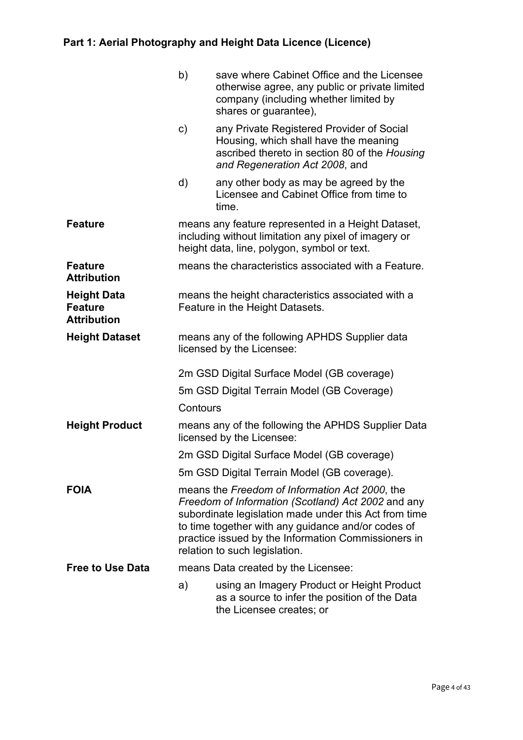|                                                            | b)                                                                                    | save where Cabinet Office and the Licensee<br>otherwise agree, any public or private limited<br>company (including whether limited by<br>shares or guarantee),                                                                                                                                              |  |
|------------------------------------------------------------|---------------------------------------------------------------------------------------|-------------------------------------------------------------------------------------------------------------------------------------------------------------------------------------------------------------------------------------------------------------------------------------------------------------|--|
|                                                            | $\mathsf{c})$                                                                         | any Private Registered Provider of Social<br>Housing, which shall have the meaning<br>ascribed thereto in section 80 of the Housing<br>and Regeneration Act 2008, and                                                                                                                                       |  |
|                                                            | d)                                                                                    | any other body as may be agreed by the<br>Licensee and Cabinet Office from time to<br>time.                                                                                                                                                                                                                 |  |
| <b>Feature</b>                                             |                                                                                       | means any feature represented in a Height Dataset,<br>including without limitation any pixel of imagery or<br>height data, line, polygon, symbol or text.                                                                                                                                                   |  |
| <b>Feature</b><br><b>Attribution</b>                       |                                                                                       | means the characteristics associated with a Feature.                                                                                                                                                                                                                                                        |  |
| <b>Height Data</b><br><b>Feature</b><br><b>Attribution</b> | means the height characteristics associated with a<br>Feature in the Height Datasets. |                                                                                                                                                                                                                                                                                                             |  |
| <b>Height Dataset</b>                                      |                                                                                       | means any of the following APHDS Supplier data<br>licensed by the Licensee:                                                                                                                                                                                                                                 |  |
|                                                            | 2m GSD Digital Surface Model (GB coverage)                                            |                                                                                                                                                                                                                                                                                                             |  |
|                                                            |                                                                                       | 5m GSD Digital Terrain Model (GB Coverage)                                                                                                                                                                                                                                                                  |  |
|                                                            | Contours                                                                              |                                                                                                                                                                                                                                                                                                             |  |
| <b>Height Product</b>                                      | means any of the following the APHDS Supplier Data<br>licensed by the Licensee:       |                                                                                                                                                                                                                                                                                                             |  |
|                                                            | 2m GSD Digital Surface Model (GB coverage)                                            |                                                                                                                                                                                                                                                                                                             |  |
|                                                            |                                                                                       | 5m GSD Digital Terrain Model (GB coverage).                                                                                                                                                                                                                                                                 |  |
| <b>FOIA</b>                                                |                                                                                       | means the Freedom of Information Act 2000, the<br>Freedom of Information (Scotland) Act 2002 and any<br>subordinate legislation made under this Act from time<br>to time together with any guidance and/or codes of<br>practice issued by the Information Commissioners in<br>relation to such legislation. |  |
| <b>Free to Use Data</b>                                    |                                                                                       | means Data created by the Licensee:                                                                                                                                                                                                                                                                         |  |
|                                                            | a)                                                                                    | using an Imagery Product or Height Product<br>as a source to infer the position of the Data<br>the Licensee creates; or                                                                                                                                                                                     |  |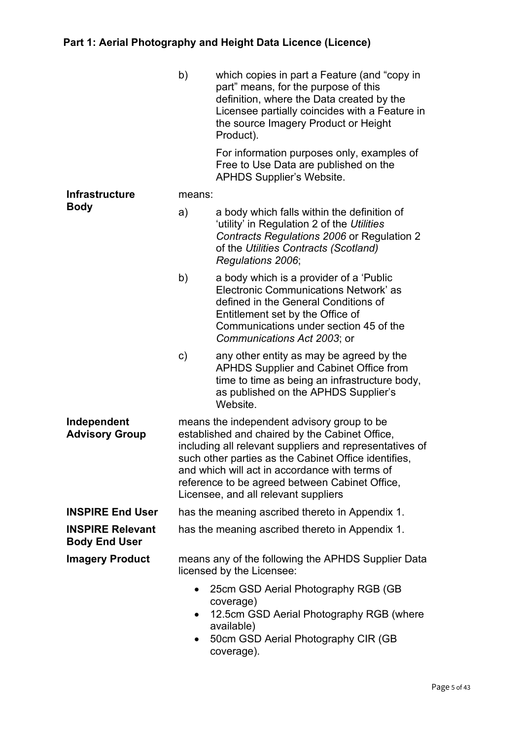|                                                 | b)                                                                                                                                                                                                                                                                                                                                                          | which copies in part a Feature (and "copy in<br>part" means, for the purpose of this<br>definition, where the Data created by the<br>Licensee partially coincides with a Feature in<br>the source Imagery Product or Height<br>Product). |  |
|-------------------------------------------------|-------------------------------------------------------------------------------------------------------------------------------------------------------------------------------------------------------------------------------------------------------------------------------------------------------------------------------------------------------------|------------------------------------------------------------------------------------------------------------------------------------------------------------------------------------------------------------------------------------------|--|
|                                                 |                                                                                                                                                                                                                                                                                                                                                             | For information purposes only, examples of<br>Free to Use Data are published on the<br><b>APHDS Supplier's Website.</b>                                                                                                                  |  |
| <b>Infrastructure</b>                           | means:                                                                                                                                                                                                                                                                                                                                                      |                                                                                                                                                                                                                                          |  |
| <b>Body</b>                                     | a)                                                                                                                                                                                                                                                                                                                                                          | a body which falls within the definition of<br>'utility' in Regulation 2 of the Utilities<br>Contracts Regulations 2006 or Regulation 2<br>of the Utilities Contracts (Scotland)<br>Regulations 2006;                                    |  |
|                                                 | b)                                                                                                                                                                                                                                                                                                                                                          | a body which is a provider of a 'Public<br>Electronic Communications Network' as<br>defined in the General Conditions of<br>Entitlement set by the Office of<br>Communications under section 45 of the<br>Communications Act 2003; or    |  |
|                                                 | $\mathsf{c})$                                                                                                                                                                                                                                                                                                                                               | any other entity as may be agreed by the<br><b>APHDS Supplier and Cabinet Office from</b><br>time to time as being an infrastructure body,<br>as published on the APHDS Supplier's<br>Website.                                           |  |
| Independent<br><b>Advisory Group</b>            | means the independent advisory group to be<br>established and chaired by the Cabinet Office,<br>including all relevant suppliers and representatives of<br>such other parties as the Cabinet Office identifies,<br>and which will act in accordance with terms of<br>reference to be agreed between Cabinet Office,<br>Licensee, and all relevant suppliers |                                                                                                                                                                                                                                          |  |
| <b>INSPIRE End User</b>                         | has the meaning ascribed thereto in Appendix 1.                                                                                                                                                                                                                                                                                                             |                                                                                                                                                                                                                                          |  |
| <b>INSPIRE Relevant</b><br><b>Body End User</b> |                                                                                                                                                                                                                                                                                                                                                             | has the meaning ascribed thereto in Appendix 1.                                                                                                                                                                                          |  |
| <b>Imagery Product</b>                          |                                                                                                                                                                                                                                                                                                                                                             | means any of the following the APHDS Supplier Data<br>licensed by the Licensee:                                                                                                                                                          |  |
|                                                 | $\bullet$                                                                                                                                                                                                                                                                                                                                                   | 25cm GSD Aerial Photography RGB (GB)<br>coverage)<br>12.5cm GSD Aerial Photography RGB (where<br>available)<br>50cm GSD Aerial Photography CIR (GB<br>coverage).                                                                         |  |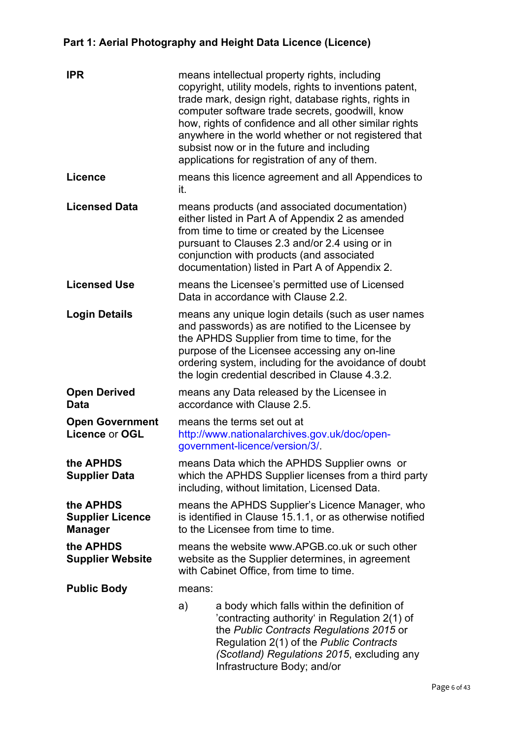| <b>IPR</b>                                             |                                                                                                                                                                                                                                                                                                                       | means intellectual property rights, including<br>copyright, utility models, rights to inventions patent,<br>trade mark, design right, database rights, rights in<br>computer software trade secrets, goodwill, know<br>how, rights of confidence and all other similar rights<br>anywhere in the world whether or not registered that<br>subsist now or in the future and including<br>applications for registration of any of them. |  |
|--------------------------------------------------------|-----------------------------------------------------------------------------------------------------------------------------------------------------------------------------------------------------------------------------------------------------------------------------------------------------------------------|--------------------------------------------------------------------------------------------------------------------------------------------------------------------------------------------------------------------------------------------------------------------------------------------------------------------------------------------------------------------------------------------------------------------------------------|--|
| Licence                                                | it.                                                                                                                                                                                                                                                                                                                   | means this licence agreement and all Appendices to                                                                                                                                                                                                                                                                                                                                                                                   |  |
| <b>Licensed Data</b>                                   |                                                                                                                                                                                                                                                                                                                       | means products (and associated documentation)<br>either listed in Part A of Appendix 2 as amended<br>from time to time or created by the Licensee<br>pursuant to Clauses 2.3 and/or 2.4 using or in<br>conjunction with products (and associated<br>documentation) listed in Part A of Appendix 2.                                                                                                                                   |  |
| <b>Licensed Use</b>                                    |                                                                                                                                                                                                                                                                                                                       | means the Licensee's permitted use of Licensed<br>Data in accordance with Clause 2.2.                                                                                                                                                                                                                                                                                                                                                |  |
| <b>Login Details</b>                                   | means any unique login details (such as user names<br>and passwords) as are notified to the Licensee by<br>the APHDS Supplier from time to time, for the<br>purpose of the Licensee accessing any on-line<br>ordering system, including for the avoidance of doubt<br>the login credential described in Clause 4.3.2. |                                                                                                                                                                                                                                                                                                                                                                                                                                      |  |
| <b>Open Derived</b><br><b>Data</b>                     |                                                                                                                                                                                                                                                                                                                       | means any Data released by the Licensee in<br>accordance with Clause 2.5.                                                                                                                                                                                                                                                                                                                                                            |  |
| <b>Open Government</b><br>Licence or OGL               | means the terms set out at<br>http://www.nationalarchives.gov.uk/doc/open-<br>government-licence/version/3/                                                                                                                                                                                                           |                                                                                                                                                                                                                                                                                                                                                                                                                                      |  |
| the APHDS<br><b>Supplier Data</b>                      |                                                                                                                                                                                                                                                                                                                       | means Data which the APHDS Supplier owns or<br>which the APHDS Supplier licenses from a third party<br>including, without limitation, Licensed Data.                                                                                                                                                                                                                                                                                 |  |
| the APHDS<br><b>Supplier Licence</b><br><b>Manager</b> | means the APHDS Supplier's Licence Manager, who<br>is identified in Clause 15.1.1, or as otherwise notified<br>to the Licensee from time to time.                                                                                                                                                                     |                                                                                                                                                                                                                                                                                                                                                                                                                                      |  |
| the APHDS<br><b>Supplier Website</b>                   | means the website www.APGB.co.uk or such other<br>website as the Supplier determines, in agreement<br>with Cabinet Office, from time to time.                                                                                                                                                                         |                                                                                                                                                                                                                                                                                                                                                                                                                                      |  |
| <b>Public Body</b>                                     | means:                                                                                                                                                                                                                                                                                                                |                                                                                                                                                                                                                                                                                                                                                                                                                                      |  |
|                                                        | a)                                                                                                                                                                                                                                                                                                                    | a body which falls within the definition of<br>'contracting authority' in Regulation 2(1) of<br>the Public Contracts Regulations 2015 or<br>Regulation 2(1) of the Public Contracts<br>(Scotland) Regulations 2015, excluding any<br>Infrastructure Body; and/or                                                                                                                                                                     |  |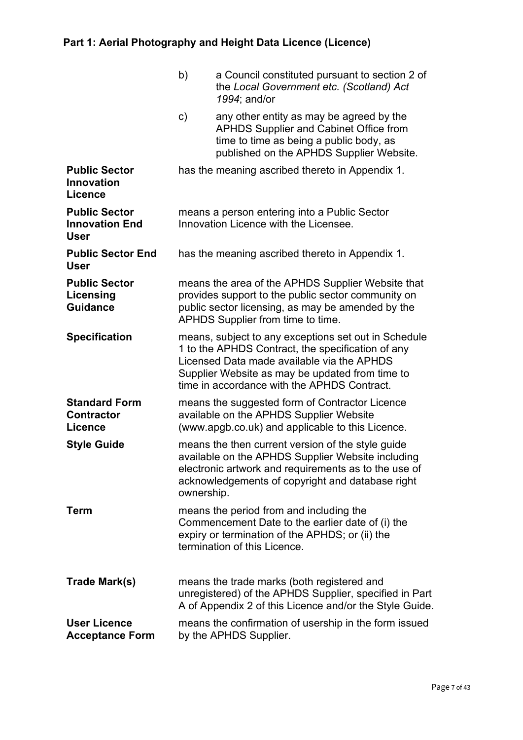|                                                              | b)            | a Council constituted pursuant to section 2 of<br>the Local Government etc. (Scotland) Act<br>1994; and/or                                                                                                                                                |
|--------------------------------------------------------------|---------------|-----------------------------------------------------------------------------------------------------------------------------------------------------------------------------------------------------------------------------------------------------------|
|                                                              | $\mathsf{c})$ | any other entity as may be agreed by the<br><b>APHDS Supplier and Cabinet Office from</b><br>time to time as being a public body, as<br>published on the APHDS Supplier Website.                                                                          |
| <b>Public Sector</b><br><b>Innovation</b><br>Licence         |               | has the meaning ascribed thereto in Appendix 1.                                                                                                                                                                                                           |
| <b>Public Sector</b><br><b>Innovation End</b><br><b>User</b> |               | means a person entering into a Public Sector<br>Innovation Licence with the Licensee.                                                                                                                                                                     |
| <b>Public Sector End</b><br><b>User</b>                      |               | has the meaning ascribed thereto in Appendix 1.                                                                                                                                                                                                           |
| <b>Public Sector</b><br>Licensing<br><b>Guidance</b>         |               | means the area of the APHDS Supplier Website that<br>provides support to the public sector community on<br>public sector licensing, as may be amended by the<br>APHDS Supplier from time to time.                                                         |
| <b>Specification</b>                                         |               | means, subject to any exceptions set out in Schedule<br>1 to the APHDS Contract, the specification of any<br>Licensed Data made available via the APHDS<br>Supplier Website as may be updated from time to<br>time in accordance with the APHDS Contract. |
| <b>Standard Form</b><br><b>Contractor</b><br><b>Licence</b>  |               | means the suggested form of Contractor Licence<br>available on the APHDS Supplier Website<br>(www.apgb.co.uk) and applicable to this Licence.                                                                                                             |
| <b>Style Guide</b>                                           | ownership.    | means the then current version of the style guide<br>available on the APHDS Supplier Website including<br>electronic artwork and requirements as to the use of<br>acknowledgements of copyright and database right                                        |
| Term                                                         |               | means the period from and including the<br>Commencement Date to the earlier date of (i) the<br>expiry or termination of the APHDS; or (ii) the<br>termination of this Licence.                                                                            |
| Trade Mark(s)                                                |               | means the trade marks (both registered and<br>unregistered) of the APHDS Supplier, specified in Part<br>A of Appendix 2 of this Licence and/or the Style Guide.                                                                                           |
| <b>User Licence</b><br><b>Acceptance Form</b>                |               | means the confirmation of usership in the form issued<br>by the APHDS Supplier.                                                                                                                                                                           |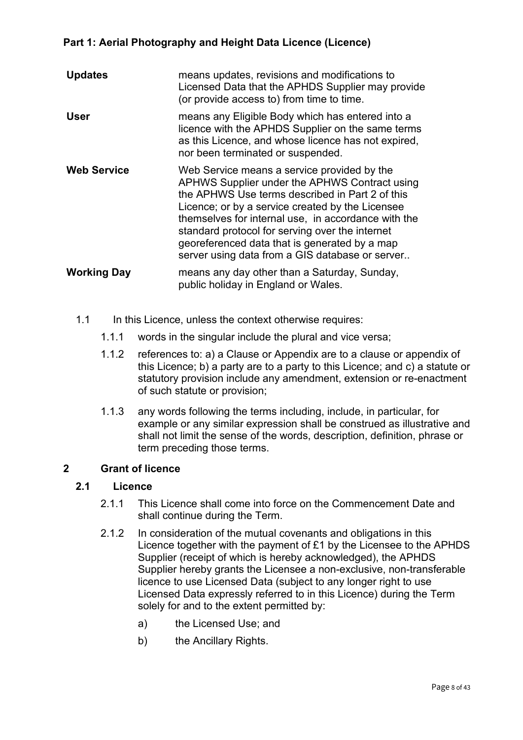| <b>Updates</b>     | means updates, revisions and modifications to<br>Licensed Data that the APHDS Supplier may provide<br>(or provide access to) from time to time.                                                                                                                                                                                                                                                                   |
|--------------------|-------------------------------------------------------------------------------------------------------------------------------------------------------------------------------------------------------------------------------------------------------------------------------------------------------------------------------------------------------------------------------------------------------------------|
| <b>User</b>        | means any Eligible Body which has entered into a<br>licence with the APHDS Supplier on the same terms<br>as this Licence, and whose licence has not expired,<br>nor been terminated or suspended.                                                                                                                                                                                                                 |
| <b>Web Service</b> | Web Service means a service provided by the<br>APHWS Supplier under the APHWS Contract using<br>the APHWS Use terms described in Part 2 of this<br>Licence; or by a service created by the Licensee<br>themselves for internal use, in accordance with the<br>standard protocol for serving over the internet<br>georeferenced data that is generated by a map<br>server using data from a GIS database or server |
| <b>Working Day</b> | means any day other than a Saturday, Sunday,<br>public holiday in England or Wales.                                                                                                                                                                                                                                                                                                                               |

- 1.1 In this Licence, unless the context otherwise requires:
	- 1.1.1 words in the singular include the plural and vice versa;
	- 1.1.2 references to: a) a Clause or Appendix are to a clause or appendix of this Licence; b) a party are to a party to this Licence; and c) a statute or statutory provision include any amendment, extension or re-enactment of such statute or provision;
	- 1.1.3 any words following the terms including, include, in particular, for example or any similar expression shall be construed as illustrative and shall not limit the sense of the words, description, definition, phrase or term preceding those terms.

### **2 Grant of licence**

#### **2.1 Licence**

- 2.1.1 This Licence shall come into force on the Commencement Date and shall continue during the Term.
- 2.1.2 In consideration of the mutual covenants and obligations in this Licence together with the payment of £1 by the Licensee to the APHDS Supplier (receipt of which is hereby acknowledged), the APHDS Supplier hereby grants the Licensee a non-exclusive, non-transferable licence to use Licensed Data (subject to any longer right to use Licensed Data expressly referred to in this Licence) during the Term solely for and to the extent permitted by:
	- a) the Licensed Use; and
	- b) the Ancillary Rights.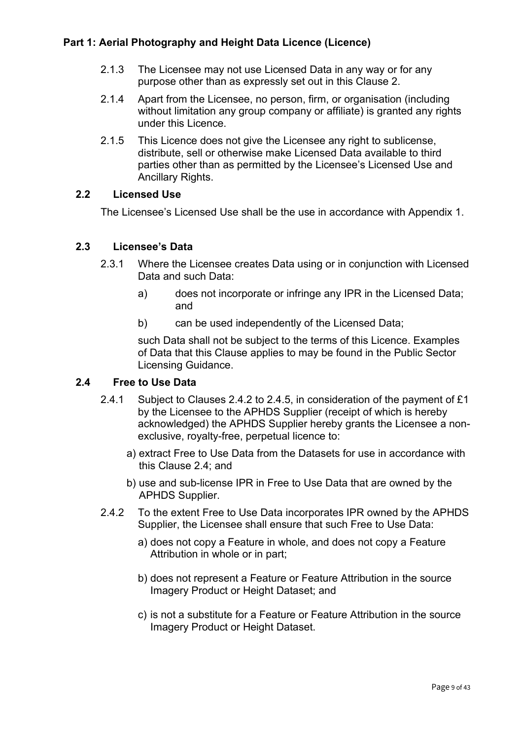- 2.1.3 The Licensee may not use Licensed Data in any way or for any purpose other than as expressly set out in this Clause 2.
- 2.1.4 Apart from the Licensee, no person, firm, or organisation (including without limitation any group company or affiliate) is granted any rights under this Licence.
- 2.1.5 This Licence does not give the Licensee any right to sublicense, distribute, sell or otherwise make Licensed Data available to third parties other than as permitted by the Licensee's Licensed Use and Ancillary Rights.

### **2.2 Licensed Use**

The Licensee's Licensed Use shall be the use in accordance with Appendix 1.

# **2.3 Licensee's Data**

- 2.3.1 Where the Licensee creates Data using or in conjunction with Licensed Data and such Data:
	- a) does not incorporate or infringe any IPR in the Licensed Data; and
	- b) can be used independently of the Licensed Data;

such Data shall not be subject to the terms of this Licence. Examples of Data that this Clause applies to may be found in the Public Sector Licensing Guidance.

### **2.4 Free to Use Data**

- 2.4.1 Subject to Clauses 2.4.2 to 2.4.5, in consideration of the payment of £1 by the Licensee to the APHDS Supplier (receipt of which is hereby acknowledged) the APHDS Supplier hereby grants the Licensee a nonexclusive, royalty-free, perpetual licence to:
	- a) extract Free to Use Data from the Datasets for use in accordance with this Clause 2.4; and
	- b) use and sub-license IPR in Free to Use Data that are owned by the APHDS Supplier.
- 2.4.2 To the extent Free to Use Data incorporates IPR owned by the APHDS Supplier, the Licensee shall ensure that such Free to Use Data:
	- a) does not copy a Feature in whole, and does not copy a Feature Attribution in whole or in part;
	- b) does not represent a Feature or Feature Attribution in the source Imagery Product or Height Dataset; and
	- c) is not a substitute for a Feature or Feature Attribution in the source Imagery Product or Height Dataset.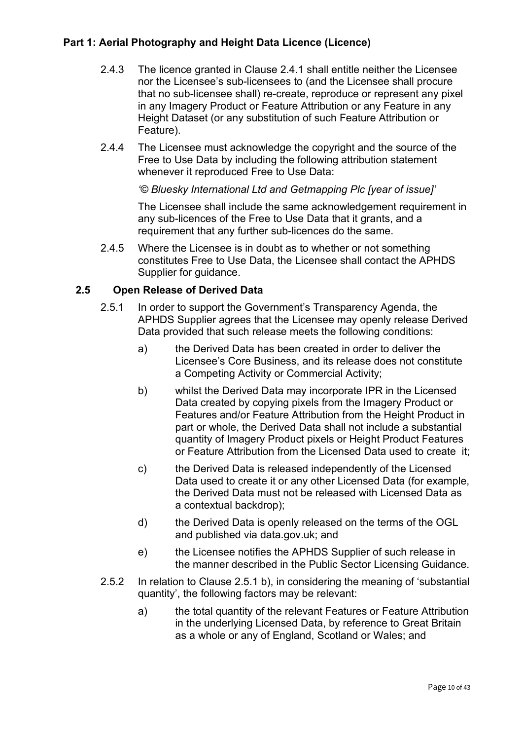- 2.4.3 The licence granted in Clause 2.4.1 shall entitle neither the Licensee nor the Licensee's sub-licensees to (and the Licensee shall procure that no sub-licensee shall) re-create, reproduce or represent any pixel in any Imagery Product or Feature Attribution or any Feature in any Height Dataset (or any substitution of such Feature Attribution or Feature).
- 2.4.4 The Licensee must acknowledge the copyright and the source of the Free to Use Data by including the following attribution statement whenever it reproduced Free to Use Data:

*'© Bluesky International Ltd and Getmapping Plc [year of issue]'* 

The Licensee shall include the same acknowledgement requirement in any sub-licences of the Free to Use Data that it grants, and a requirement that any further sub-licences do the same.

2.4.5 Where the Licensee is in doubt as to whether or not something constitutes Free to Use Data, the Licensee shall contact the APHDS Supplier for guidance.

### **2.5 Open Release of Derived Data**

- 2.5.1 In order to support the Government's Transparency Agenda, the APHDS Supplier agrees that the Licensee may openly release Derived Data provided that such release meets the following conditions:
	- a) the Derived Data has been created in order to deliver the Licensee's Core Business, and its release does not constitute a Competing Activity or Commercial Activity;
	- b) whilst the Derived Data may incorporate IPR in the Licensed Data created by copying pixels from the Imagery Product or Features and/or Feature Attribution from the Height Product in part or whole, the Derived Data shall not include a substantial quantity of Imagery Product pixels or Height Product Features or Feature Attribution from the Licensed Data used to create it;
	- c) the Derived Data is released independently of the Licensed Data used to create it or any other Licensed Data (for example, the Derived Data must not be released with Licensed Data as a contextual backdrop);
	- d) the Derived Data is openly released on the terms of the OGL and published via data.gov.uk; and
	- e) the Licensee notifies the APHDS Supplier of such release in the manner described in the Public Sector Licensing Guidance.
- 2.5.2 In relation to Clause 2.5.1 b), in considering the meaning of 'substantial quantity', the following factors may be relevant:
	- a) the total quantity of the relevant Features or Feature Attribution in the underlying Licensed Data, by reference to Great Britain as a whole or any of England, Scotland or Wales; and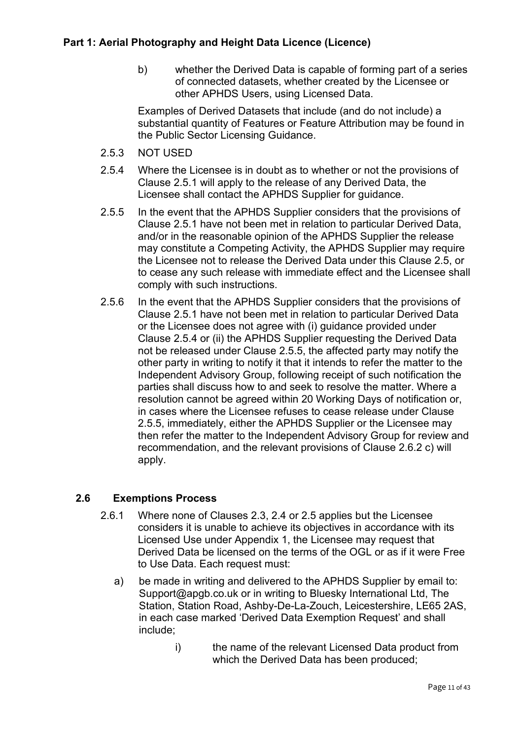b) whether the Derived Data is capable of forming part of a series of connected datasets, whether created by the Licensee or other APHDS Users, using Licensed Data.

Examples of Derived Datasets that include (and do not include) a substantial quantity of Features or Feature Attribution may be found in the Public Sector Licensing Guidance.

- 2.5.3 NOT USED
- 2.5.4 Where the Licensee is in doubt as to whether or not the provisions of Clause 2.5.1 will apply to the release of any Derived Data, the Licensee shall contact the APHDS Supplier for guidance.
- 2.5.5 In the event that the APHDS Supplier considers that the provisions of Clause 2.5.1 have not been met in relation to particular Derived Data, and/or in the reasonable opinion of the APHDS Supplier the release may constitute a Competing Activity, the APHDS Supplier may require the Licensee not to release the Derived Data under this Clause 2.5, or to cease any such release with immediate effect and the Licensee shall comply with such instructions.
- 2.5.6 In the event that the APHDS Supplier considers that the provisions of Clause 2.5.1 have not been met in relation to particular Derived Data or the Licensee does not agree with (i) guidance provided under Clause 2.5.4 or (ii) the APHDS Supplier requesting the Derived Data not be released under Clause 2.5.5, the affected party may notify the other party in writing to notify it that it intends to refer the matter to the Independent Advisory Group, following receipt of such notification the parties shall discuss how to and seek to resolve the matter. Where a resolution cannot be agreed within 20 Working Days of notification or, in cases where the Licensee refuses to cease release under Clause 2.5.5, immediately, either the APHDS Supplier or the Licensee may then refer the matter to the Independent Advisory Group for review and recommendation, and the relevant provisions of Clause 2.6.2 c) will apply.

#### **2.6 Exemptions Process**

- 2.6.1 Where none of Clauses 2.3, 2.4 or 2.5 applies but the Licensee considers it is unable to achieve its objectives in accordance with its Licensed Use under Appendix 1, the Licensee may request that Derived Data be licensed on the terms of the OGL or as if it were Free to Use Data. Each request must:
	- a) be made in writing and delivered to the APHDS Supplier by email to: Support@apgb.co.uk or in writing to Bluesky International Ltd. The Station, Station Road, Ashby-De-La-Zouch, Leicestershire, LE65 2AS, in each case marked 'Derived Data Exemption Request' and shall include;
		- i) the name of the relevant Licensed Data product from which the Derived Data has been produced;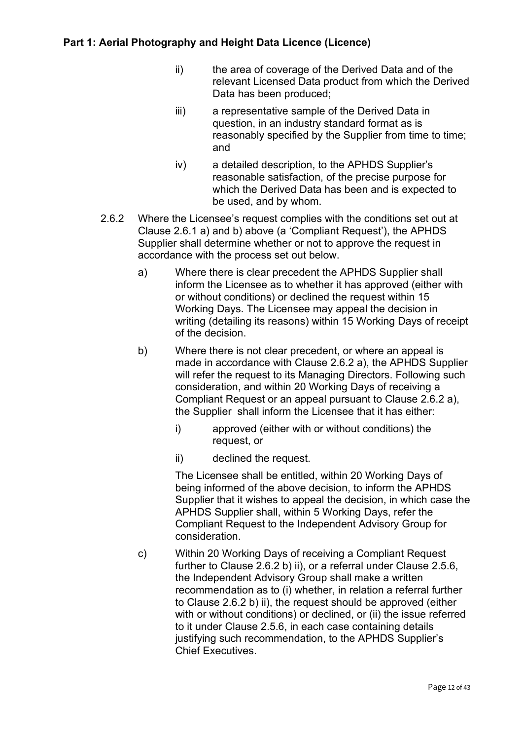- ii) the area of coverage of the Derived Data and of the relevant Licensed Data product from which the Derived Data has been produced;
- iii) a representative sample of the Derived Data in question, in an industry standard format as is reasonably specified by the Supplier from time to time; and
- iv) a detailed description, to the APHDS Supplier's reasonable satisfaction, of the precise purpose for which the Derived Data has been and is expected to be used, and by whom.
- 2.6.2 Where the Licensee's request complies with the conditions set out at Clause 2.6.1 a) and b) above (a 'Compliant Request'), the APHDS Supplier shall determine whether or not to approve the request in accordance with the process set out below.
	- a) Where there is clear precedent the APHDS Supplier shall inform the Licensee as to whether it has approved (either with or without conditions) or declined the request within 15 Working Days. The Licensee may appeal the decision in writing (detailing its reasons) within 15 Working Days of receipt of the decision.
	- b) Where there is not clear precedent, or where an appeal is made in accordance with Clause 2.6.2 a), the APHDS Supplier will refer the request to its Managing Directors. Following such consideration, and within 20 Working Days of receiving a Compliant Request or an appeal pursuant to Clause 2.6.2 a), the Supplier shall inform the Licensee that it has either:
		- i) approved (either with or without conditions) the request, or
		- ii) declined the request.

The Licensee shall be entitled, within 20 Working Days of being informed of the above decision, to inform the APHDS Supplier that it wishes to appeal the decision, in which case the APHDS Supplier shall, within 5 Working Days, refer the Compliant Request to the Independent Advisory Group for consideration.

c) Within 20 Working Days of receiving a Compliant Request further to Clause 2.6.2 b) ii), or a referral under Clause 2.5.6, the Independent Advisory Group shall make a written recommendation as to (i) whether, in relation a referral further to Clause 2.6.2 b) ii), the request should be approved (either with or without conditions) or declined, or (ii) the issue referred to it under Clause 2.5.6, in each case containing details justifying such recommendation, to the APHDS Supplier's Chief Executives.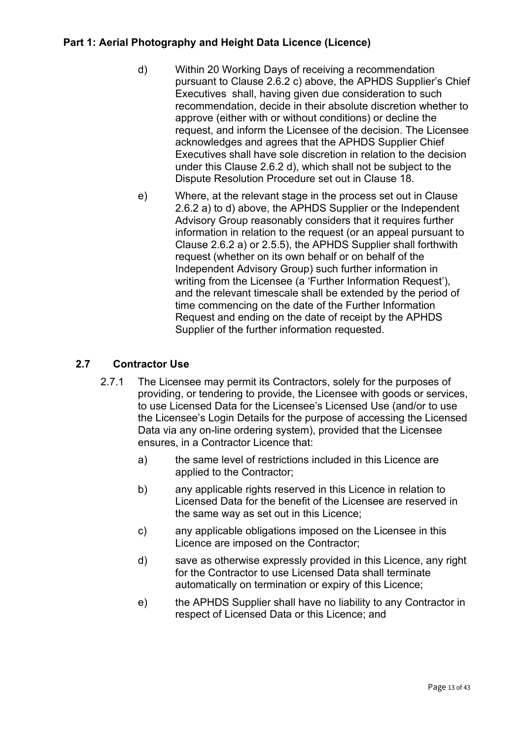- d) Within 20 Working Days of receiving a recommendation pursuant to Clause 2.6.2 c) above, the APHDS Supplier's Chief Executives shall, having given due consideration to such recommendation, decide in their absolute discretion whether to approve (either with or without conditions) or decline the request, and inform the Licensee of the decision. The Licensee acknowledges and agrees that the APHDS Supplier Chief Executives shall have sole discretion in relation to the decision under this Clause 2.6.2 d), which shall not be subject to the Dispute Resolution Procedure set out in Clause 18.
- e) Where, at the relevant stage in the process set out in Clause 2.6.2 a) to d) above, the APHDS Supplier or the Independent Advisory Group reasonably considers that it requires further information in relation to the request (or an appeal pursuant to Clause 2.6.2 a) or 2.5.5), the APHDS Supplier shall forthwith request (whether on its own behalf or on behalf of the Independent Advisory Group) such further information in writing from the Licensee (a 'Further Information Request'), and the relevant timescale shall be extended by the period of time commencing on the date of the Further Information Request and ending on the date of receipt by the APHDS Supplier of the further information requested.

# **2.7 Contractor Use**

- 2.7.1 The Licensee may permit its Contractors, solely for the purposes of providing, or tendering to provide, the Licensee with goods or services, to use Licensed Data for the Licensee's Licensed Use (and/or to use the Licensee's Login Details for the purpose of accessing the Licensed Data via any on-line ordering system), provided that the Licensee ensures, in a Contractor Licence that:
	- a) the same level of restrictions included in this Licence are applied to the Contractor;
	- b) any applicable rights reserved in this Licence in relation to Licensed Data for the benefit of the Licensee are reserved in the same way as set out in this Licence;
	- c) any applicable obligations imposed on the Licensee in this Licence are imposed on the Contractor;
	- d) save as otherwise expressly provided in this Licence, any right for the Contractor to use Licensed Data shall terminate automatically on termination or expiry of this Licence;
	- e) the APHDS Supplier shall have no liability to any Contractor in respect of Licensed Data or this Licence; and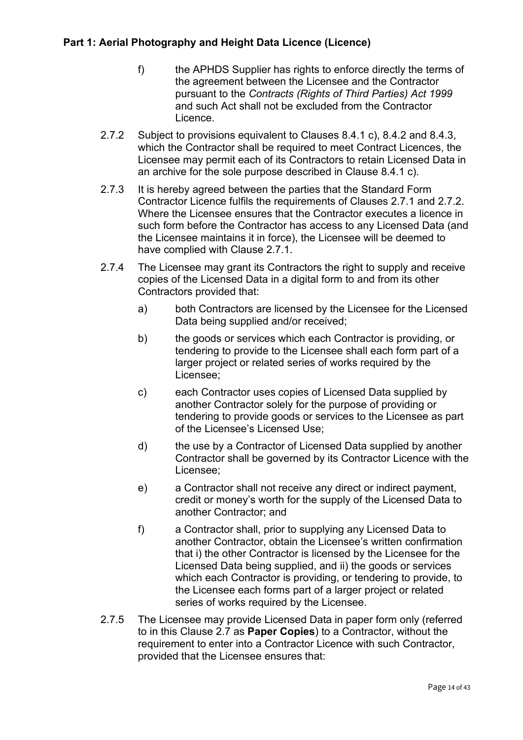- f) the APHDS Supplier has rights to enforce directly the terms of the agreement between the Licensee and the Contractor pursuant to the *Contracts (Rights of Third Parties) Act 1999* and such Act shall not be excluded from the Contractor Licence.
- 2.7.2 Subject to provisions equivalent to Clauses 8.4.1 c), 8.4.2 and 8.4.3, which the Contractor shall be required to meet Contract Licences, the Licensee may permit each of its Contractors to retain Licensed Data in an archive for the sole purpose described in Clause 8.4.1 c).
- 2.7.3 It is hereby agreed between the parties that the Standard Form Contractor Licence fulfils the requirements of Clauses 2.7.1 and 2.7.2. Where the Licensee ensures that the Contractor executes a licence in such form before the Contractor has access to any Licensed Data (and the Licensee maintains it in force), the Licensee will be deemed to have complied with Clause 2.7.1.
- 2.7.4 The Licensee may grant its Contractors the right to supply and receive copies of the Licensed Data in a digital form to and from its other Contractors provided that:
	- a) both Contractors are licensed by the Licensee for the Licensed Data being supplied and/or received;
	- b) the goods or services which each Contractor is providing, or tendering to provide to the Licensee shall each form part of a larger project or related series of works required by the Licensee;
	- c) each Contractor uses copies of Licensed Data supplied by another Contractor solely for the purpose of providing or tendering to provide goods or services to the Licensee as part of the Licensee's Licensed Use;
	- d) the use by a Contractor of Licensed Data supplied by another Contractor shall be governed by its Contractor Licence with the Licensee;
	- e) a Contractor shall not receive any direct or indirect payment, credit or money's worth for the supply of the Licensed Data to another Contractor; and
	- f) a Contractor shall, prior to supplying any Licensed Data to another Contractor, obtain the Licensee's written confirmation that i) the other Contractor is licensed by the Licensee for the Licensed Data being supplied, and ii) the goods or services which each Contractor is providing, or tendering to provide, to the Licensee each forms part of a larger project or related series of works required by the Licensee.
- 2.7.5 The Licensee may provide Licensed Data in paper form only (referred to in this Clause 2.7 as **Paper Copies**) to a Contractor, without the requirement to enter into a Contractor Licence with such Contractor, provided that the Licensee ensures that: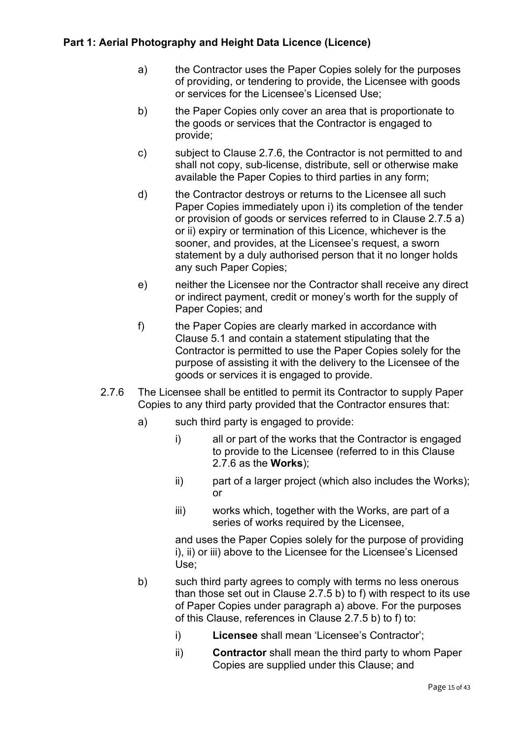- a) the Contractor uses the Paper Copies solely for the purposes of providing, or tendering to provide, the Licensee with goods or services for the Licensee's Licensed Use;
- b) the Paper Copies only cover an area that is proportionate to the goods or services that the Contractor is engaged to provide;
- c) subject to Clause 2.7.6, the Contractor is not permitted to and shall not copy, sub-license, distribute, sell or otherwise make available the Paper Copies to third parties in any form;
- d) the Contractor destroys or returns to the Licensee all such Paper Copies immediately upon i) its completion of the tender or provision of goods or services referred to in Clause 2.7.5 a) or ii) expiry or termination of this Licence, whichever is the sooner, and provides, at the Licensee's request, a sworn statement by a duly authorised person that it no longer holds any such Paper Copies;
- e) neither the Licensee nor the Contractor shall receive any direct or indirect payment, credit or money's worth for the supply of Paper Copies; and
- f) the Paper Copies are clearly marked in accordance with Clause 5.1 and contain a statement stipulating that the Contractor is permitted to use the Paper Copies solely for the purpose of assisting it with the delivery to the Licensee of the goods or services it is engaged to provide.
- 2.7.6 The Licensee shall be entitled to permit its Contractor to supply Paper Copies to any third party provided that the Contractor ensures that:
	- a) such third party is engaged to provide:
		- i) all or part of the works that the Contractor is engaged to provide to the Licensee (referred to in this Clause 2.7.6 as the **Works**);
			- ii) part of a larger project (which also includes the Works); or
			- iii) works which, together with the Works, are part of a series of works required by the Licensee,

and uses the Paper Copies solely for the purpose of providing i), ii) or iii) above to the Licensee for the Licensee's Licensed Use;

- b) such third party agrees to comply with terms no less onerous than those set out in Clause 2.7.5 b) to f) with respect to its use of Paper Copies under paragraph a) above. For the purposes of this Clause, references in Clause 2.7.5 b) to f) to:
	- i) **Licensee** shall mean 'Licensee's Contractor';
	- ii) **Contractor** shall mean the third party to whom Paper Copies are supplied under this Clause; and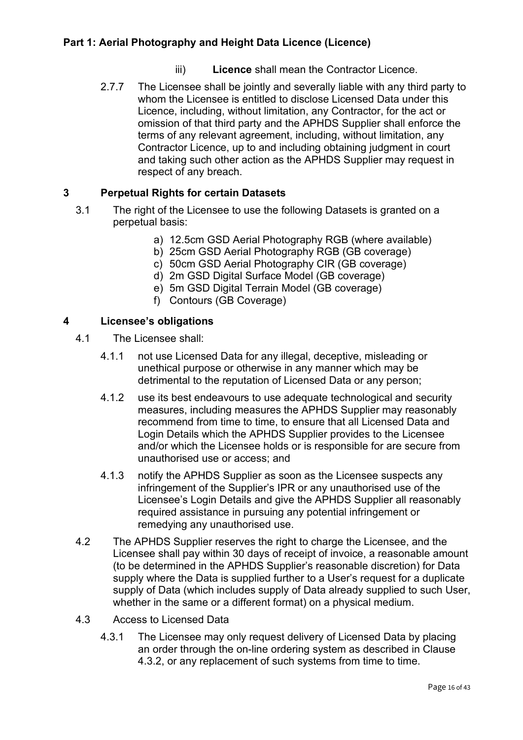- iii) **Licence** shall mean the Contractor Licence.
- 2.7.7 The Licensee shall be jointly and severally liable with any third party to whom the Licensee is entitled to disclose Licensed Data under this Licence, including, without limitation, any Contractor, for the act or omission of that third party and the APHDS Supplier shall enforce the terms of any relevant agreement, including, without limitation, any Contractor Licence, up to and including obtaining judgment in court and taking such other action as the APHDS Supplier may request in respect of any breach.

### **3 Perpetual Rights for certain Datasets**

- 3.1 The right of the Licensee to use the following Datasets is granted on a perpetual basis:
	- a) 12.5cm GSD Aerial Photography RGB (where available)
	- b) 25cm GSD Aerial Photography RGB (GB coverage)
	- c) 50cm GSD Aerial Photography CIR (GB coverage)
	- d) 2m GSD Digital Surface Model (GB coverage)
	- e) 5m GSD Digital Terrain Model (GB coverage)
	- f) Contours (GB Coverage)

#### **4 Licensee's obligations**

- 4.1 The Licensee shall:
	- 4.1.1 not use Licensed Data for any illegal, deceptive, misleading or unethical purpose or otherwise in any manner which may be detrimental to the reputation of Licensed Data or any person;
	- 4.1.2 use its best endeavours to use adequate technological and security measures, including measures the APHDS Supplier may reasonably recommend from time to time, to ensure that all Licensed Data and Login Details which the APHDS Supplier provides to the Licensee and/or which the Licensee holds or is responsible for are secure from unauthorised use or access; and
	- 4.1.3 notify the APHDS Supplier as soon as the Licensee suspects any infringement of the Supplier's IPR or any unauthorised use of the Licensee's Login Details and give the APHDS Supplier all reasonably required assistance in pursuing any potential infringement or remedying any unauthorised use.
- 4.2 The APHDS Supplier reserves the right to charge the Licensee, and the Licensee shall pay within 30 days of receipt of invoice, a reasonable amount (to be determined in the APHDS Supplier's reasonable discretion) for Data supply where the Data is supplied further to a User's request for a duplicate supply of Data (which includes supply of Data already supplied to such User, whether in the same or a different format) on a physical medium.
- 4.3 Access to Licensed Data
	- 4.3.1 The Licensee may only request delivery of Licensed Data by placing an order through the on-line ordering system as described in Clause 4.3.2, or any replacement of such systems from time to time.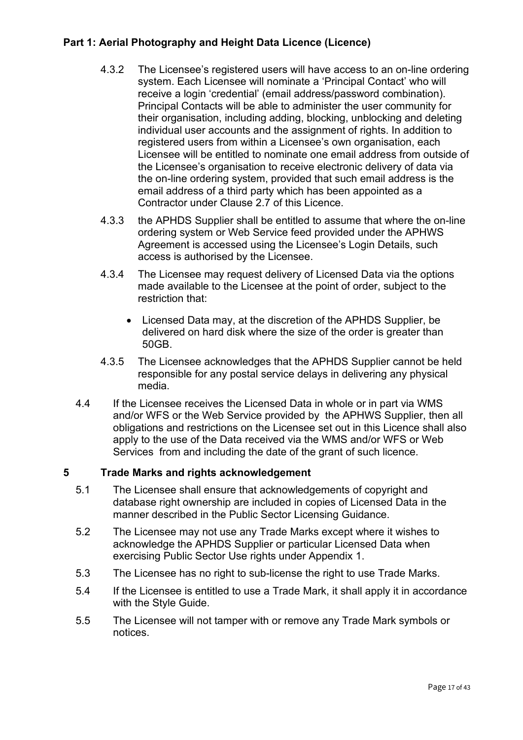- 4.3.2 The Licensee's registered users will have access to an on-line ordering system. Each Licensee will nominate a 'Principal Contact' who will receive a login 'credential' (email address/password combination). Principal Contacts will be able to administer the user community for their organisation, including adding, blocking, unblocking and deleting individual user accounts and the assignment of rights. In addition to registered users from within a Licensee's own organisation, each Licensee will be entitled to nominate one email address from outside of the Licensee's organisation to receive electronic delivery of data via the on-line ordering system, provided that such email address is the email address of a third party which has been appointed as a Contractor under Clause 2.7 of this Licence.
- 4.3.3 the APHDS Supplier shall be entitled to assume that where the on-line ordering system or Web Service feed provided under the APHWS Agreement is accessed using the Licensee's Login Details, such access is authorised by the Licensee.
- 4.3.4 The Licensee may request delivery of Licensed Data via the options made available to the Licensee at the point of order, subject to the restriction that:
	- Licensed Data may, at the discretion of the APHDS Supplier, be delivered on hard disk where the size of the order is greater than 50GB.
- 4.3.5 The Licensee acknowledges that the APHDS Supplier cannot be held responsible for any postal service delays in delivering any physical media.
- 4.4 If the Licensee receives the Licensed Data in whole or in part via WMS and/or WFS or the Web Service provided by the APHWS Supplier, then all obligations and restrictions on the Licensee set out in this Licence shall also apply to the use of the Data received via the WMS and/or WFS or Web Services from and including the date of the grant of such licence.

#### **5 Trade Marks and rights acknowledgement**

- 5.1 The Licensee shall ensure that acknowledgements of copyright and database right ownership are included in copies of Licensed Data in the manner described in the Public Sector Licensing Guidance.
- 5.2 The Licensee may not use any Trade Marks except where it wishes to acknowledge the APHDS Supplier or particular Licensed Data when exercising Public Sector Use rights under Appendix 1.
- 5.3 The Licensee has no right to sub-license the right to use Trade Marks.
- 5.4 If the Licensee is entitled to use a Trade Mark, it shall apply it in accordance with the Style Guide.
- 5.5 The Licensee will not tamper with or remove any Trade Mark symbols or notices.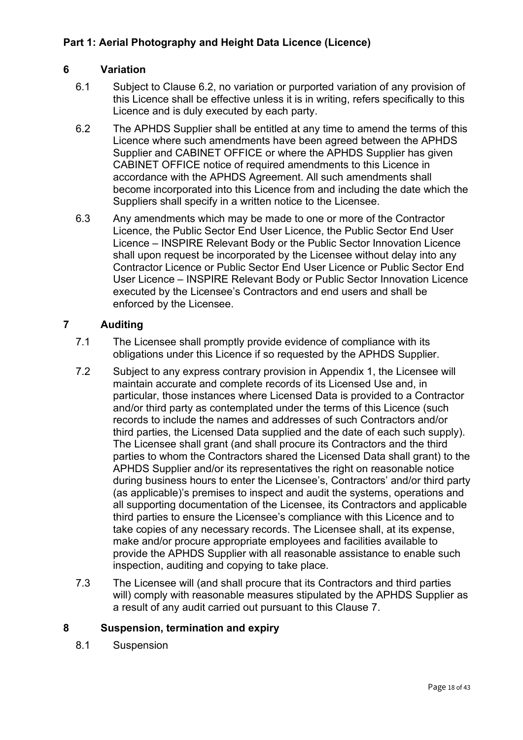### **6 Variation**

- 6.1 Subject to Clause 6.2, no variation or purported variation of any provision of this Licence shall be effective unless it is in writing, refers specifically to this Licence and is duly executed by each party.
- 6.2 The APHDS Supplier shall be entitled at any time to amend the terms of this Licence where such amendments have been agreed between the APHDS Supplier and CABINET OFFICE or where the APHDS Supplier has given CABINET OFFICE notice of required amendments to this Licence in accordance with the APHDS Agreement. All such amendments shall become incorporated into this Licence from and including the date which the Suppliers shall specify in a written notice to the Licensee.
- 6.3 Any amendments which may be made to one or more of the Contractor Licence, the Public Sector End User Licence, the Public Sector End User Licence – INSPIRE Relevant Body or the Public Sector Innovation Licence shall upon request be incorporated by the Licensee without delay into any Contractor Licence or Public Sector End User Licence or Public Sector End User Licence – INSPIRE Relevant Body or Public Sector Innovation Licence executed by the Licensee's Contractors and end users and shall be enforced by the Licensee.

## **7 Auditing**

- 7.1 The Licensee shall promptly provide evidence of compliance with its obligations under this Licence if so requested by the APHDS Supplier.
- 7.2 Subject to any express contrary provision in Appendix 1, the Licensee will maintain accurate and complete records of its Licensed Use and, in particular, those instances where Licensed Data is provided to a Contractor and/or third party as contemplated under the terms of this Licence (such records to include the names and addresses of such Contractors and/or third parties, the Licensed Data supplied and the date of each such supply). The Licensee shall grant (and shall procure its Contractors and the third parties to whom the Contractors shared the Licensed Data shall grant) to the APHDS Supplier and/or its representatives the right on reasonable notice during business hours to enter the Licensee's, Contractors' and/or third party (as applicable)'s premises to inspect and audit the systems, operations and all supporting documentation of the Licensee, its Contractors and applicable third parties to ensure the Licensee's compliance with this Licence and to take copies of any necessary records. The Licensee shall, at its expense, make and/or procure appropriate employees and facilities available to provide the APHDS Supplier with all reasonable assistance to enable such inspection, auditing and copying to take place.
- 7.3 The Licensee will (and shall procure that its Contractors and third parties will) comply with reasonable measures stipulated by the APHDS Supplier as a result of any audit carried out pursuant to this Clause 7.

#### **8 Suspension, termination and expiry**

8.1 Suspension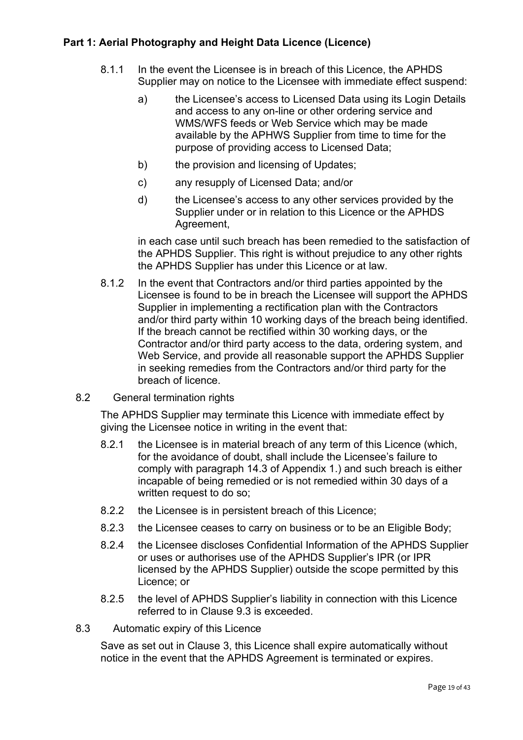- 8.1.1 In the event the Licensee is in breach of this Licence, the APHDS Supplier may on notice to the Licensee with immediate effect suspend:
	- a) the Licensee's access to Licensed Data using its Login Details and access to any on-line or other ordering service and WMS/WFS feeds or Web Service which may be made available by the APHWS Supplier from time to time for the purpose of providing access to Licensed Data;
	- b) the provision and licensing of Updates;
	- c) any resupply of Licensed Data; and/or
	- d) the Licensee's access to any other services provided by the Supplier under or in relation to this Licence or the APHDS Agreement,

in each case until such breach has been remedied to the satisfaction of the APHDS Supplier. This right is without prejudice to any other rights the APHDS Supplier has under this Licence or at law.

- 8.1.2 In the event that Contractors and/or third parties appointed by the Licensee is found to be in breach the Licensee will support the APHDS Supplier in implementing a rectification plan with the Contractors and/or third party within 10 working days of the breach being identified. If the breach cannot be rectified within 30 working days, or the Contractor and/or third party access to the data, ordering system, and Web Service, and provide all reasonable support the APHDS Supplier in seeking remedies from the Contractors and/or third party for the breach of licence.
- 8.2 General termination rights

The APHDS Supplier may terminate this Licence with immediate effect by giving the Licensee notice in writing in the event that:

- 8.2.1 the Licensee is in material breach of any term of this Licence (which, for the avoidance of doubt, shall include the Licensee's failure to comply with paragraph 14.3 of Appendix 1.) and such breach is either incapable of being remedied or is not remedied within 30 days of a written request to do so;
- 8.2.2 the Licensee is in persistent breach of this Licence;
- 8.2.3 the Licensee ceases to carry on business or to be an Eligible Body;
- 8.2.4 the Licensee discloses Confidential Information of the APHDS Supplier or uses or authorises use of the APHDS Supplier's IPR (or IPR licensed by the APHDS Supplier) outside the scope permitted by this Licence; or
- 8.2.5 the level of APHDS Supplier's liability in connection with this Licence referred to in Clause 9.3 is exceeded.
- 8.3 Automatic expiry of this Licence

Save as set out in Clause 3, this Licence shall expire automatically without notice in the event that the APHDS Agreement is terminated or expires.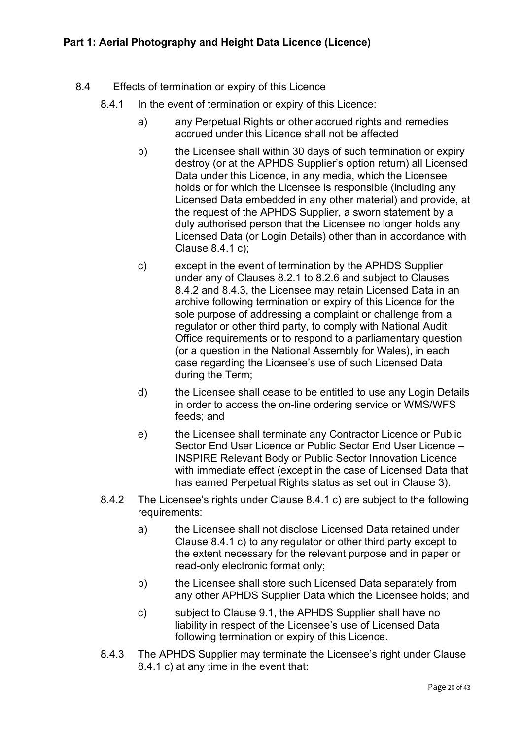- 8.4 Effects of termination or expiry of this Licence
	- 8.4.1 In the event of termination or expiry of this Licence:
		- a) any Perpetual Rights or other accrued rights and remedies accrued under this Licence shall not be affected
		- b) the Licensee shall within 30 days of such termination or expiry destroy (or at the APHDS Supplier's option return) all Licensed Data under this Licence, in any media, which the Licensee holds or for which the Licensee is responsible (including any Licensed Data embedded in any other material) and provide, at the request of the APHDS Supplier, a sworn statement by a duly authorised person that the Licensee no longer holds any Licensed Data (or Login Details) other than in accordance with Clause 8.4.1 c);
		- c) except in the event of termination by the APHDS Supplier under any of Clauses 8.2.1 to 8.2.6 and subject to Clauses 8.4.2 and 8.4.3, the Licensee may retain Licensed Data in an archive following termination or expiry of this Licence for the sole purpose of addressing a complaint or challenge from a regulator or other third party, to comply with National Audit Office requirements or to respond to a parliamentary question (or a question in the National Assembly for Wales), in each case regarding the Licensee's use of such Licensed Data during the Term;
		- d) the Licensee shall cease to be entitled to use any Login Details in order to access the on-line ordering service or WMS/WFS feeds; and
		- e) the Licensee shall terminate any Contractor Licence or Public Sector End User Licence or Public Sector End User Licence – INSPIRE Relevant Body or Public Sector Innovation Licence with immediate effect (except in the case of Licensed Data that has earned Perpetual Rights status as set out in Clause 3).
	- 8.4.2 The Licensee's rights under Clause 8.4.1 c) are subject to the following requirements:
		- a) the Licensee shall not disclose Licensed Data retained under Clause 8.4.1 c) to any regulator or other third party except to the extent necessary for the relevant purpose and in paper or read-only electronic format only;
		- b) the Licensee shall store such Licensed Data separately from any other APHDS Supplier Data which the Licensee holds; and
		- c) subject to Clause 9.1, the APHDS Supplier shall have no liability in respect of the Licensee's use of Licensed Data following termination or expiry of this Licence.
	- 8.4.3 The APHDS Supplier may terminate the Licensee's right under Clause 8.4.1 c) at any time in the event that: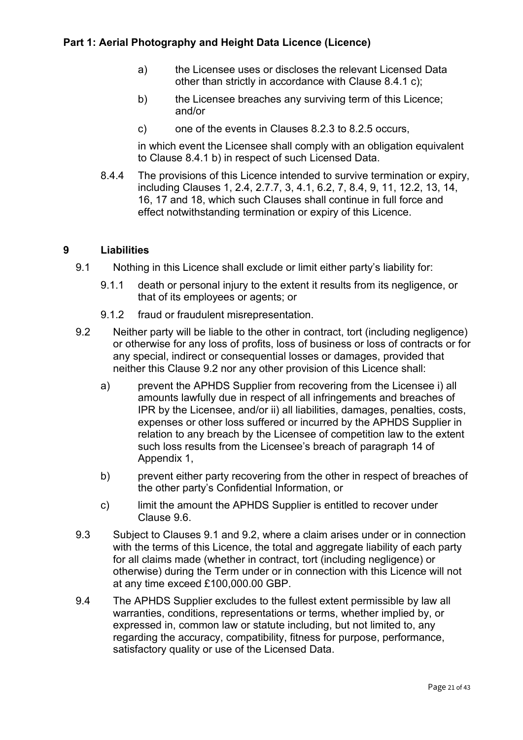- a) the Licensee uses or discloses the relevant Licensed Data other than strictly in accordance with Clause 8.4.1 c);
- b) the Licensee breaches any surviving term of this Licence; and/or
- c) one of the events in Clauses 8.2.3 to 8.2.5 occurs,

in which event the Licensee shall comply with an obligation equivalent to Clause 8.4.1 b) in respect of such Licensed Data.

8.4.4 The provisions of this Licence intended to survive termination or expiry, including Clauses 1, 2.4, 2.7.7, 3, 4.1, 6.2, 7, 8.4, 9, 11, 12.2, 13, 14, 16, 17 and 18, which such Clauses shall continue in full force and effect notwithstanding termination or expiry of this Licence.

#### **9 Liabilities**

- 9.1 Nothing in this Licence shall exclude or limit either party's liability for:
	- 9.1.1 death or personal injury to the extent it results from its negligence, or that of its employees or agents; or
	- 9.1.2 fraud or fraudulent misrepresentation.
- 9.2 Neither party will be liable to the other in contract, tort (including negligence) or otherwise for any loss of profits, loss of business or loss of contracts or for any special, indirect or consequential losses or damages, provided that neither this Clause 9.2 nor any other provision of this Licence shall:
	- a) prevent the APHDS Supplier from recovering from the Licensee i) all amounts lawfully due in respect of all infringements and breaches of IPR by the Licensee, and/or ii) all liabilities, damages, penalties, costs, expenses or other loss suffered or incurred by the APHDS Supplier in relation to any breach by the Licensee of competition law to the extent such loss results from the Licensee's breach of paragraph 14 of Appendix 1,
	- b) prevent either party recovering from the other in respect of breaches of the other party's Confidential Information, or
	- c) limit the amount the APHDS Supplier is entitled to recover under Clause 9.6.
- 9.3 Subject to Clauses 9.1 and 9.2, where a claim arises under or in connection with the terms of this Licence, the total and aggregate liability of each party for all claims made (whether in contract, tort (including negligence) or otherwise) during the Term under or in connection with this Licence will not at any time exceed £100,000.00 GBP.
- 9.4 The APHDS Supplier excludes to the fullest extent permissible by law all warranties, conditions, representations or terms, whether implied by, or expressed in, common law or statute including, but not limited to, any regarding the accuracy, compatibility, fitness for purpose, performance, satisfactory quality or use of the Licensed Data.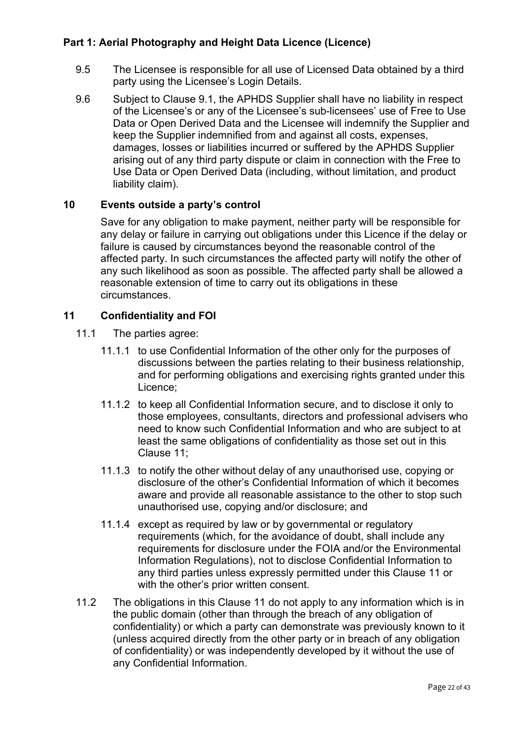- 9.5 The Licensee is responsible for all use of Licensed Data obtained by a third party using the Licensee's Login Details.
- 9.6 Subject to Clause 9.1, the APHDS Supplier shall have no liability in respect of the Licensee's or any of the Licensee's sub-licensees' use of Free to Use Data or Open Derived Data and the Licensee will indemnify the Supplier and keep the Supplier indemnified from and against all costs, expenses, damages, losses or liabilities incurred or suffered by the APHDS Supplier arising out of any third party dispute or claim in connection with the Free to Use Data or Open Derived Data (including, without limitation, and product liability claim).

#### **10 Events outside a party's control**

Save for any obligation to make payment, neither party will be responsible for any delay or failure in carrying out obligations under this Licence if the delay or failure is caused by circumstances beyond the reasonable control of the affected party. In such circumstances the affected party will notify the other of any such likelihood as soon as possible. The affected party shall be allowed a reasonable extension of time to carry out its obligations in these circumstances.

# **11 Confidentiality and FOI**

- 11.1 The parties agree:
	- 11.1.1 to use Confidential Information of the other only for the purposes of discussions between the parties relating to their business relationship, and for performing obligations and exercising rights granted under this Licence;
	- 11.1.2 to keep all Confidential Information secure, and to disclose it only to those employees, consultants, directors and professional advisers who need to know such Confidential Information and who are subject to at least the same obligations of confidentiality as those set out in this Clause 11;
	- 11.1.3 to notify the other without delay of any unauthorised use, copying or disclosure of the other's Confidential Information of which it becomes aware and provide all reasonable assistance to the other to stop such unauthorised use, copying and/or disclosure; and
	- 11.1.4 except as required by law or by governmental or regulatory requirements (which, for the avoidance of doubt, shall include any requirements for disclosure under the FOIA and/or the Environmental Information Regulations), not to disclose Confidential Information to any third parties unless expressly permitted under this Clause 11 or with the other's prior written consent.
- 11.2 The obligations in this Clause 11 do not apply to any information which is in the public domain (other than through the breach of any obligation of confidentiality) or which a party can demonstrate was previously known to it (unless acquired directly from the other party or in breach of any obligation of confidentiality) or was independently developed by it without the use of any Confidential Information.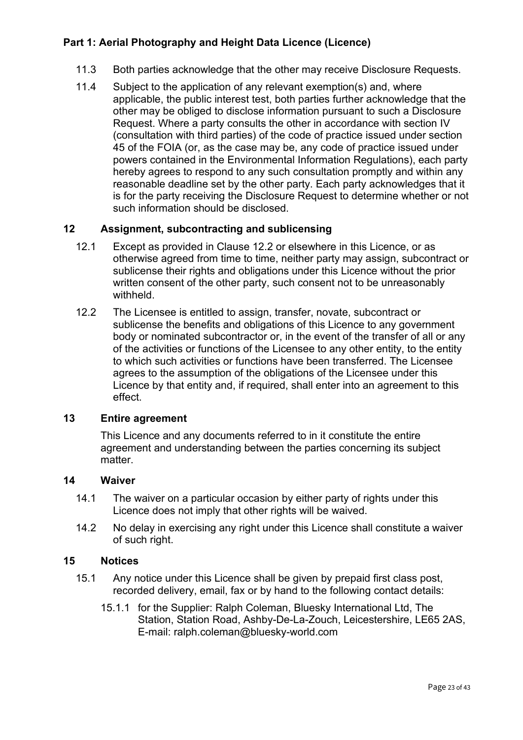- 11.3 Both parties acknowledge that the other may receive Disclosure Requests.
- 11.4 Subject to the application of any relevant exemption(s) and, where applicable, the public interest test, both parties further acknowledge that the other may be obliged to disclose information pursuant to such a Disclosure Request. Where a party consults the other in accordance with section IV (consultation with third parties) of the code of practice issued under section 45 of the FOIA (or, as the case may be, any code of practice issued under powers contained in the Environmental Information Regulations), each party hereby agrees to respond to any such consultation promptly and within any reasonable deadline set by the other party. Each party acknowledges that it is for the party receiving the Disclosure Request to determine whether or not such information should be disclosed.

### **12 Assignment, subcontracting and sublicensing**

- 12.1 Except as provided in Clause 12.2 or elsewhere in this Licence, or as otherwise agreed from time to time, neither party may assign, subcontract or sublicense their rights and obligations under this Licence without the prior written consent of the other party, such consent not to be unreasonably withheld.
- 12.2 The Licensee is entitled to assign, transfer, novate, subcontract or sublicense the benefits and obligations of this Licence to any government body or nominated subcontractor or, in the event of the transfer of all or any of the activities or functions of the Licensee to any other entity, to the entity to which such activities or functions have been transferred. The Licensee agrees to the assumption of the obligations of the Licensee under this Licence by that entity and, if required, shall enter into an agreement to this effect.

#### **13 Entire agreement**

This Licence and any documents referred to in it constitute the entire agreement and understanding between the parties concerning its subject matter.

#### **14 Waiver**

- 14.1 The waiver on a particular occasion by either party of rights under this Licence does not imply that other rights will be waived.
- 14.2 No delay in exercising any right under this Licence shall constitute a waiver of such right.

#### **15 Notices**

- 15.1 Any notice under this Licence shall be given by prepaid first class post, recorded delivery, email, fax or by hand to the following contact details:
	- 15.1.1 for the Supplier: Ralph Coleman, Bluesky International Ltd, The Station, Station Road, Ashby-De-La-Zouch, Leicestershire, LE65 2AS, E-mail: ralph.coleman@bluesky-world.com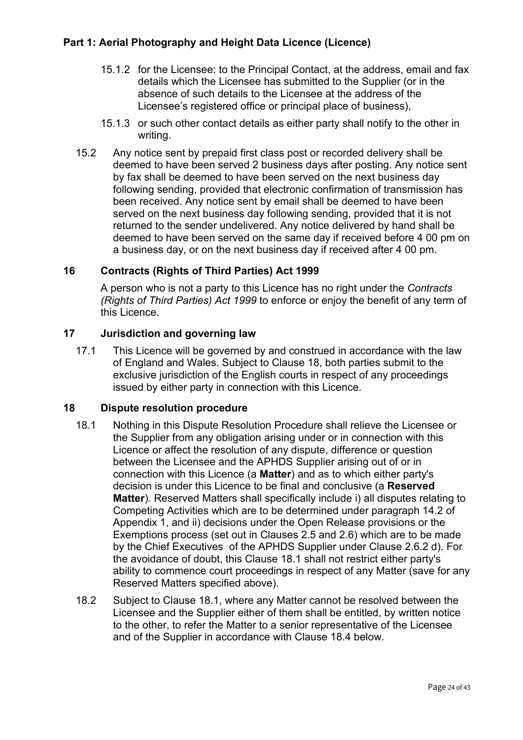- 15.1.2 for the Licensee: to the Principal Contact, at the address, email and fax details which the Licensee has submitted to the Supplier (or in the absence of such details to the Licensee at the address of the Licensee's registered office or principal place of business),
- 15.1.3 or such other contact details as either party shall notify to the other in writing.
- 15.2 Any notice sent by prepaid first class post or recorded delivery shall be deemed to have been served 2 business days after posting. Any notice sent by fax shall be deemed to have been served on the next business day following sending, provided that electronic confirmation of transmission has been received. Any notice sent by email shall be deemed to have been served on the next business day following sending, provided that it is not returned to the sender undelivered. Any notice delivered by hand shall be deemed to have been served on the same day if received before 4 00 pm on a business day, or on the next business day if received after 4 00 pm.

#### **16 Contracts (Rights of Third Parties) Act 1999**

A person who is not a party to this Licence has no right under the *Contracts (Rights of Third Parties) Act 1999* to enforce or enjoy the benefit of any term of this Licence.

#### **17 Jurisdiction and governing law**

17.1 This Licence will be governed by and construed in accordance with the law of England and Wales. Subject to Clause 18, both parties submit to the exclusive jurisdiction of the English courts in respect of any proceedings issued by either party in connection with this Licence.

#### **18 Dispute resolution procedure**

- 18.1 Nothing in this Dispute Resolution Procedure shall relieve the Licensee or the Supplier from any obligation arising under or in connection with this Licence or affect the resolution of any dispute, difference or question between the Licensee and the APHDS Supplier arising out of or in connection with this Licence (a **Matter**) and as to which either party's decision is under this Licence to be final and conclusive (a **Reserved Matter**). Reserved Matters shall specifically include i) all disputes relating to Competing Activities which are to be determined under paragraph 14.2 of Appendix 1, and ii) decisions under the Open Release provisions or the Exemptions process (set out in Clauses 2.5 and 2.6) which are to be made by the Chief Executives of the APHDS Supplier under Clause 2.6.2 d). For the avoidance of doubt, this Clause 18.1 shall not restrict either party's ability to commence court proceedings in respect of any Matter (save for any Reserved Matters specified above).
- 18.2 Subject to Clause 18.1, where any Matter cannot be resolved between the Licensee and the Supplier either of them shall be entitled, by written notice to the other, to refer the Matter to a senior representative of the Licensee and of the Supplier in accordance with Clause 18.4 below.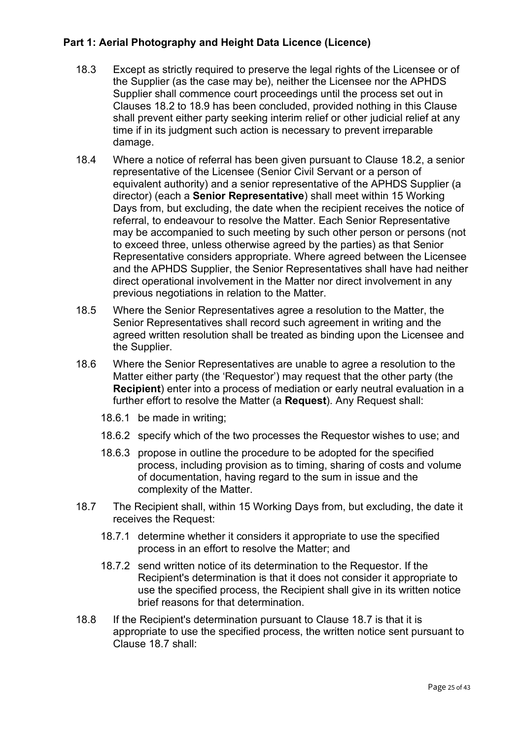- 18.3 Except as strictly required to preserve the legal rights of the Licensee or of the Supplier (as the case may be), neither the Licensee nor the APHDS Supplier shall commence court proceedings until the process set out in Clauses 18.2 to 18.9 has been concluded, provided nothing in this Clause shall prevent either party seeking interim relief or other judicial relief at any time if in its judgment such action is necessary to prevent irreparable damage.
- 18.4 Where a notice of referral has been given pursuant to Clause 18.2, a senior representative of the Licensee (Senior Civil Servant or a person of equivalent authority) and a senior representative of the APHDS Supplier (a director) (each a **Senior Representative**) shall meet within 15 Working Days from, but excluding, the date when the recipient receives the notice of referral, to endeavour to resolve the Matter. Each Senior Representative may be accompanied to such meeting by such other person or persons (not to exceed three, unless otherwise agreed by the parties) as that Senior Representative considers appropriate. Where agreed between the Licensee and the APHDS Supplier, the Senior Representatives shall have had neither direct operational involvement in the Matter nor direct involvement in any previous negotiations in relation to the Matter.
- 18.5 Where the Senior Representatives agree a resolution to the Matter, the Senior Representatives shall record such agreement in writing and the agreed written resolution shall be treated as binding upon the Licensee and the Supplier.
- 18.6 Where the Senior Representatives are unable to agree a resolution to the Matter either party (the 'Requestor') may request that the other party (the **Recipient**) enter into a process of mediation or early neutral evaluation in a further effort to resolve the Matter (a **Request**). Any Request shall:
	- 18.6.1 be made in writing;
	- 18.6.2 specify which of the two processes the Requestor wishes to use; and
	- 18.6.3 propose in outline the procedure to be adopted for the specified process, including provision as to timing, sharing of costs and volume of documentation, having regard to the sum in issue and the complexity of the Matter.
- 18.7 The Recipient shall, within 15 Working Days from, but excluding, the date it receives the Request:
	- 18.7.1 determine whether it considers it appropriate to use the specified process in an effort to resolve the Matter; and
	- 18.7.2 send written notice of its determination to the Requestor. If the Recipient's determination is that it does not consider it appropriate to use the specified process, the Recipient shall give in its written notice brief reasons for that determination.
- 18.8 If the Recipient's determination pursuant to Clause 18.7 is that it is appropriate to use the specified process, the written notice sent pursuant to Clause 18.7 shall: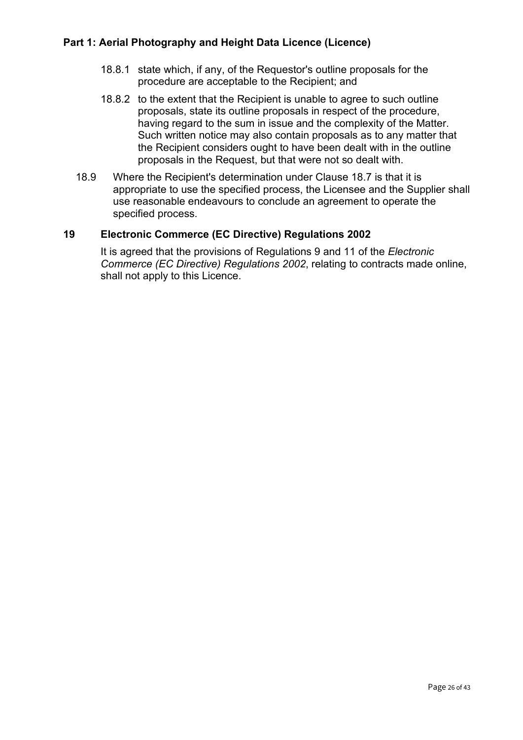- 18.8.1 state which, if any, of the Requestor's outline proposals for the procedure are acceptable to the Recipient; and
- 18.8.2 to the extent that the Recipient is unable to agree to such outline proposals, state its outline proposals in respect of the procedure, having regard to the sum in issue and the complexity of the Matter. Such written notice may also contain proposals as to any matter that the Recipient considers ought to have been dealt with in the outline proposals in the Request, but that were not so dealt with.
- 18.9 Where the Recipient's determination under Clause 18.7 is that it is appropriate to use the specified process, the Licensee and the Supplier shall use reasonable endeavours to conclude an agreement to operate the specified process.

#### **19 Electronic Commerce (EC Directive) Regulations 2002**

It is agreed that the provisions of Regulations 9 and 11 of the *Electronic Commerce (EC Directive) Regulations 2002*, relating to contracts made online, shall not apply to this Licence.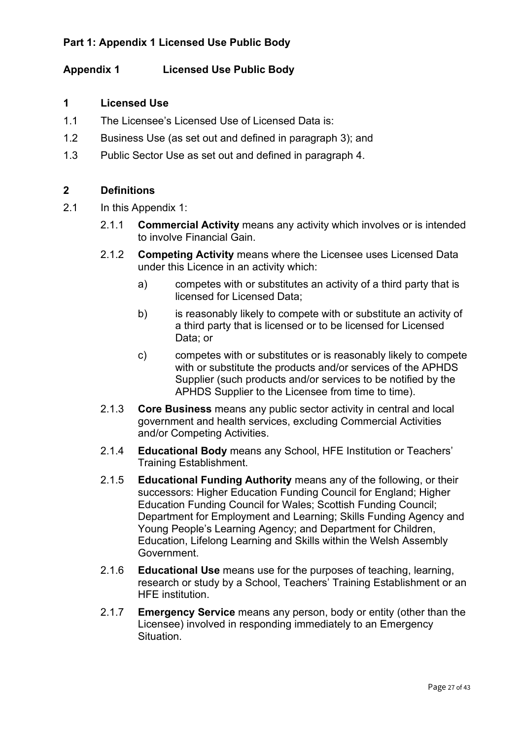# **Appendix 1 Licensed Use Public Body**

### **1 Licensed Use**

- 1.1 The Licensee's Licensed Use of Licensed Data is:
- 1.2 Business Use (as set out and defined in paragraph 3); and
- 1.3 Public Sector Use as set out and defined in paragraph 4.

### **2 Definitions**

- 2.1 In this Appendix 1:
	- 2.1.1 **Commercial Activity** means any activity which involves or is intended to involve Financial Gain.
	- 2.1.2 **Competing Activity** means where the Licensee uses Licensed Data under this Licence in an activity which:
		- a) competes with or substitutes an activity of a third party that is licensed for Licensed Data;
		- b) is reasonably likely to compete with or substitute an activity of a third party that is licensed or to be licensed for Licensed Data; or
		- c) competes with or substitutes or is reasonably likely to compete with or substitute the products and/or services of the APHDS Supplier (such products and/or services to be notified by the APHDS Supplier to the Licensee from time to time).
	- 2.1.3 **Core Business** means any public sector activity in central and local government and health services, excluding Commercial Activities and/or Competing Activities.
	- 2.1.4 **Educational Body** means any School, HFE Institution or Teachers' Training Establishment.
	- 2.1.5 **Educational Funding Authority** means any of the following, or their successors: Higher Education Funding Council for England; Higher Education Funding Council for Wales; Scottish Funding Council; Department for Employment and Learning; Skills Funding Agency and Young People's Learning Agency; and Department for Children, Education, Lifelong Learning and Skills within the Welsh Assembly Government.
	- 2.1.6 **Educational Use** means use for the purposes of teaching, learning, research or study by a School, Teachers' Training Establishment or an HFE institution.
	- 2.1.7 **Emergency Service** means any person, body or entity (other than the Licensee) involved in responding immediately to an Emergency Situation.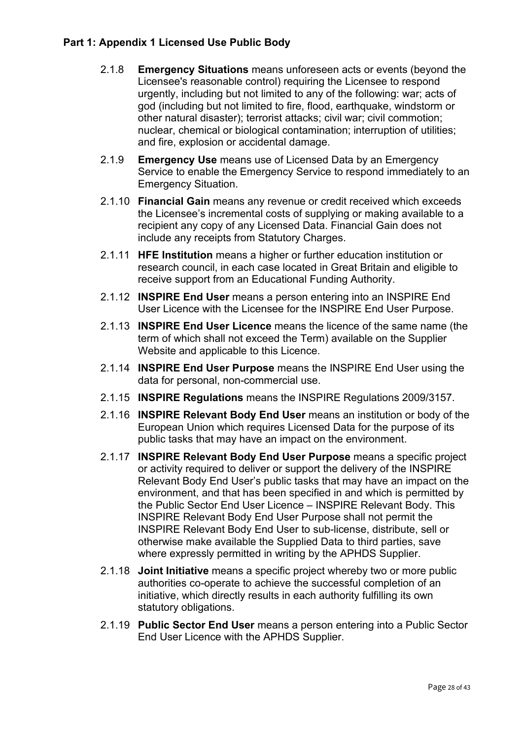- 2.1.8 **Emergency Situations** means unforeseen acts or events (beyond the Licensee's reasonable control) requiring the Licensee to respond urgently, including but not limited to any of the following: war; acts of god (including but not limited to fire, flood, earthquake, windstorm or other natural disaster); terrorist attacks; civil war; civil commotion; nuclear, chemical or biological contamination; interruption of utilities; and fire, explosion or accidental damage.
- 2.1.9 **Emergency Use** means use of Licensed Data by an Emergency Service to enable the Emergency Service to respond immediately to an Emergency Situation.
- 2.1.10 **Financial Gain** means any revenue or credit received which exceeds the Licensee's incremental costs of supplying or making available to a recipient any copy of any Licensed Data. Financial Gain does not include any receipts from Statutory Charges.
- 2.1.11 **HFE Institution** means a higher or further education institution or research council, in each case located in Great Britain and eligible to receive support from an Educational Funding Authority.
- 2.1.12 **INSPIRE End User** means a person entering into an INSPIRE End User Licence with the Licensee for the INSPIRE End User Purpose.
- 2.1.13 **INSPIRE End User Licence** means the licence of the same name (the term of which shall not exceed the Term) available on the Supplier Website and applicable to this Licence.
- 2.1.14 **INSPIRE End User Purpose** means the INSPIRE End User using the data for personal, non-commercial use.
- 2.1.15 **INSPIRE Regulations** means the INSPIRE Regulations 2009/3157.
- 2.1.16 **INSPIRE Relevant Body End User** means an institution or body of the European Union which requires Licensed Data for the purpose of its public tasks that may have an impact on the environment.
- 2.1.17 **INSPIRE Relevant Body End User Purpose** means a specific project or activity required to deliver or support the delivery of the INSPIRE Relevant Body End User's public tasks that may have an impact on the environment, and that has been specified in and which is permitted by the Public Sector End User Licence – INSPIRE Relevant Body. This INSPIRE Relevant Body End User Purpose shall not permit the INSPIRE Relevant Body End User to sub-license, distribute, sell or otherwise make available the Supplied Data to third parties, save where expressly permitted in writing by the APHDS Supplier.
- 2.1.18 **Joint Initiative** means a specific project whereby two or more public authorities co-operate to achieve the successful completion of an initiative, which directly results in each authority fulfilling its own statutory obligations.
- 2.1.19 **Public Sector End User** means a person entering into a Public Sector End User Licence with the APHDS Supplier.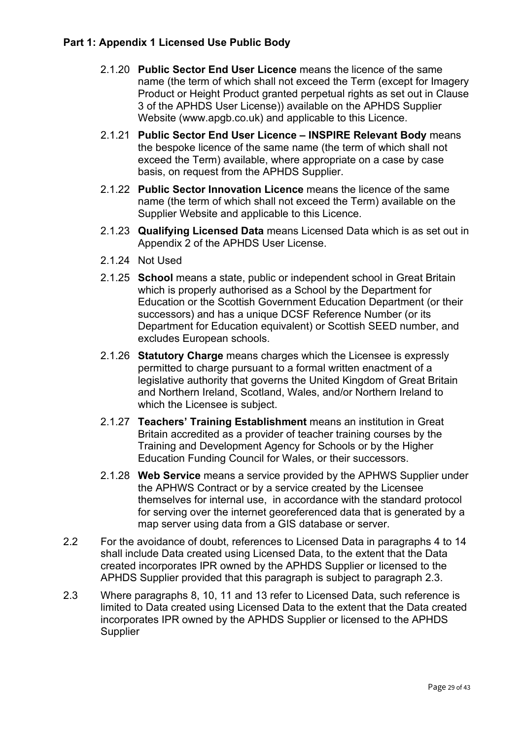- 2.1.20 **Public Sector End User Licence** means the licence of the same name (the term of which shall not exceed the Term (except for Imagery Product or Height Product granted perpetual rights as set out in Clause 3 of the APHDS User License)) available on the APHDS Supplier Website (www.apgb.co.uk) and applicable to this Licence.
- 2.1.21 **Public Sector End User Licence – INSPIRE Relevant Body** means the bespoke licence of the same name (the term of which shall not exceed the Term) available, where appropriate on a case by case basis, on request from the APHDS Supplier.
- 2.1.22 **Public Sector Innovation Licence** means the licence of the same name (the term of which shall not exceed the Term) available on the Supplier Website and applicable to this Licence.
- 2.1.23 **Qualifying Licensed Data** means Licensed Data which is as set out in Appendix 2 of the APHDS User License.
- 2.1.24 Not Used
- 2.1.25 **School** means a state, public or independent school in Great Britain which is properly authorised as a School by the Department for Education or the Scottish Government Education Department (or their successors) and has a unique DCSF Reference Number (or its Department for Education equivalent) or Scottish SEED number, and excludes European schools.
- 2.1.26 **Statutory Charge** means charges which the Licensee is expressly permitted to charge pursuant to a formal written enactment of a legislative authority that governs the United Kingdom of Great Britain and Northern Ireland, Scotland, Wales, and/or Northern Ireland to which the Licensee is subject.
- 2.1.27 **Teachers' Training Establishment** means an institution in Great Britain accredited as a provider of teacher training courses by the Training and Development Agency for Schools or by the Higher Education Funding Council for Wales, or their successors.
- 2.1.28 **Web Service** means a service provided by the APHWS Supplier under the APHWS Contract or by a service created by the Licensee themselves for internal use, in accordance with the standard protocol for serving over the internet georeferenced data that is generated by a map server using data from a GIS database or server.
- 2.2 For the avoidance of doubt, references to Licensed Data in paragraphs 4 to 14 shall include Data created using Licensed Data, to the extent that the Data created incorporates IPR owned by the APHDS Supplier or licensed to the APHDS Supplier provided that this paragraph is subject to paragraph 2.3.
- 2.3 Where paragraphs 8, 10, 11 and 13 refer to Licensed Data, such reference is limited to Data created using Licensed Data to the extent that the Data created incorporates IPR owned by the APHDS Supplier or licensed to the APHDS Supplier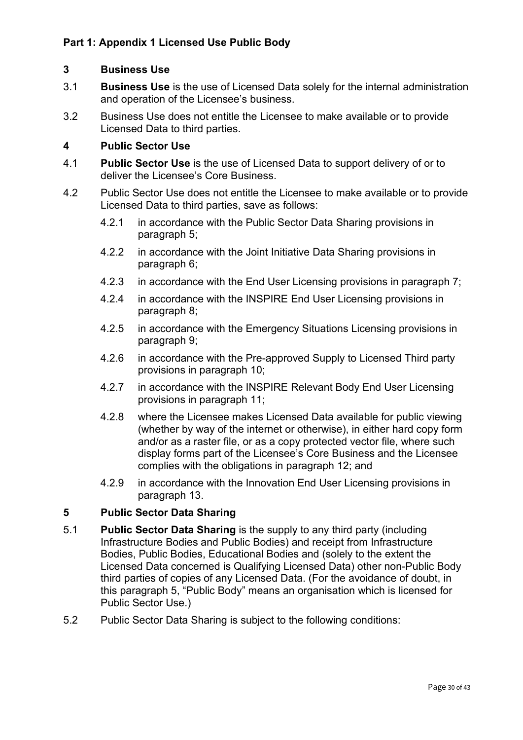### **3 Business Use**

- 3.1 **Business Use** is the use of Licensed Data solely for the internal administration and operation of the Licensee's business.
- 3.2 Business Use does not entitle the Licensee to make available or to provide Licensed Data to third parties.

#### **4 Public Sector Use**

- 4.1 **Public Sector Use** is the use of Licensed Data to support delivery of or to deliver the Licensee's Core Business.
- 4.2 Public Sector Use does not entitle the Licensee to make available or to provide Licensed Data to third parties, save as follows:
	- 4.2.1 in accordance with the Public Sector Data Sharing provisions in paragraph 5;
	- 4.2.2 in accordance with the Joint Initiative Data Sharing provisions in paragraph 6;
	- 4.2.3 in accordance with the End User Licensing provisions in paragraph 7;
	- 4.2.4 in accordance with the INSPIRE End User Licensing provisions in paragraph 8;
	- 4.2.5 in accordance with the Emergency Situations Licensing provisions in paragraph 9;
	- 4.2.6 in accordance with the Pre-approved Supply to Licensed Third party provisions in paragraph 10;
	- 4.2.7 in accordance with the INSPIRE Relevant Body End User Licensing provisions in paragraph 11;
	- 4.2.8 where the Licensee makes Licensed Data available for public viewing (whether by way of the internet or otherwise), in either hard copy form and/or as a raster file, or as a copy protected vector file, where such display forms part of the Licensee's Core Business and the Licensee complies with the obligations in paragraph 12; and
	- 4.2.9 in accordance with the Innovation End User Licensing provisions in paragraph 13.

#### **5 Public Sector Data Sharing**

- 5.1 **Public Sector Data Sharing** is the supply to any third party (including Infrastructure Bodies and Public Bodies) and receipt from Infrastructure Bodies, Public Bodies, Educational Bodies and (solely to the extent the Licensed Data concerned is Qualifying Licensed Data) other non-Public Body third parties of copies of any Licensed Data. (For the avoidance of doubt, in this paragraph 5, "Public Body" means an organisation which is licensed for Public Sector Use.)
- 5.2 Public Sector Data Sharing is subject to the following conditions: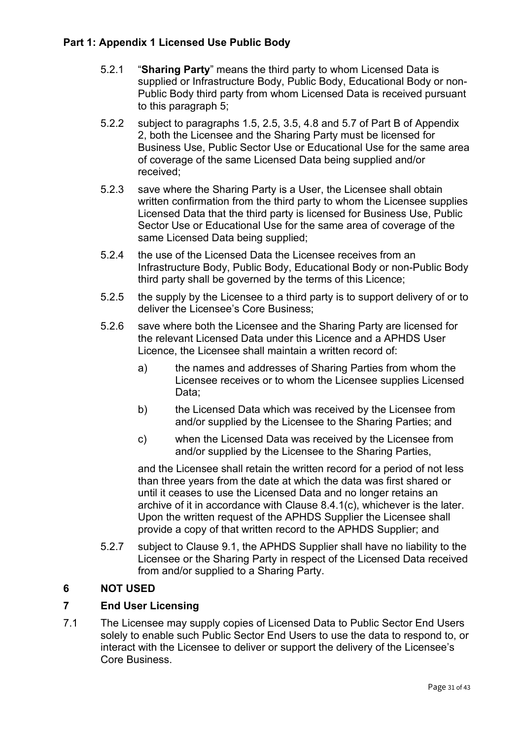- 5.2.1 "**Sharing Party**" means the third party to whom Licensed Data is supplied or Infrastructure Body, Public Body, Educational Body or non-Public Body third party from whom Licensed Data is received pursuant to this paragraph 5;
- 5.2.2 subject to paragraphs 1.5, 2.5, 3.5, 4.8 and 5.7 of Part B of Appendix 2, both the Licensee and the Sharing Party must be licensed for Business Use, Public Sector Use or Educational Use for the same area of coverage of the same Licensed Data being supplied and/or received;
- 5.2.3 save where the Sharing Party is a User, the Licensee shall obtain written confirmation from the third party to whom the Licensee supplies Licensed Data that the third party is licensed for Business Use, Public Sector Use or Educational Use for the same area of coverage of the same Licensed Data being supplied;
- 5.2.4 the use of the Licensed Data the Licensee receives from an Infrastructure Body, Public Body, Educational Body or non-Public Body third party shall be governed by the terms of this Licence;
- 5.2.5 the supply by the Licensee to a third party is to support delivery of or to deliver the Licensee's Core Business;
- 5.2.6 save where both the Licensee and the Sharing Party are licensed for the relevant Licensed Data under this Licence and a APHDS User Licence, the Licensee shall maintain a written record of:
	- a) the names and addresses of Sharing Parties from whom the Licensee receives or to whom the Licensee supplies Licensed Data;
	- b) the Licensed Data which was received by the Licensee from and/or supplied by the Licensee to the Sharing Parties; and
	- c) when the Licensed Data was received by the Licensee from and/or supplied by the Licensee to the Sharing Parties,

and the Licensee shall retain the written record for a period of not less than three years from the date at which the data was first shared or until it ceases to use the Licensed Data and no longer retains an archive of it in accordance with Clause 8.4.1(c), whichever is the later. Upon the written request of the APHDS Supplier the Licensee shall provide a copy of that written record to the APHDS Supplier; and

5.2.7 subject to Clause 9.1, the APHDS Supplier shall have no liability to the Licensee or the Sharing Party in respect of the Licensed Data received from and/or supplied to a Sharing Party.

# **6 NOT USED**

# **7 End User Licensing**

7.1 The Licensee may supply copies of Licensed Data to Public Sector End Users solely to enable such Public Sector End Users to use the data to respond to, or interact with the Licensee to deliver or support the delivery of the Licensee's Core Business.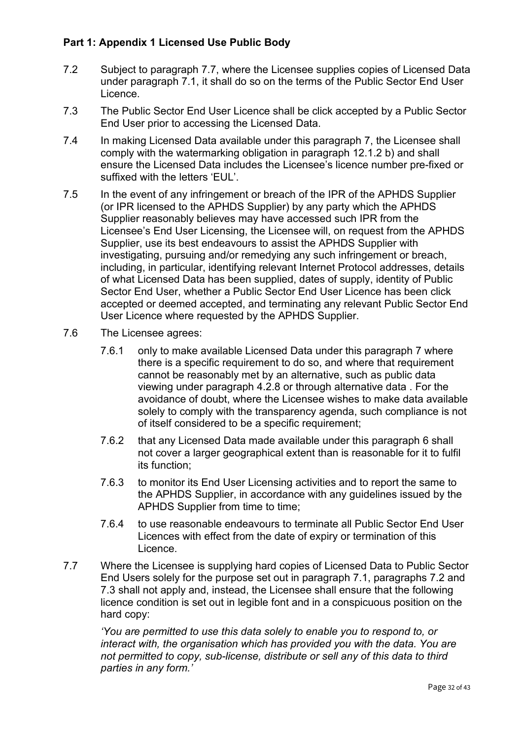- 7.2 Subject to paragraph 7.7, where the Licensee supplies copies of Licensed Data under paragraph 7.1, it shall do so on the terms of the Public Sector End User Licence.
- 7.3 The Public Sector End User Licence shall be click accepted by a Public Sector End User prior to accessing the Licensed Data.
- 7.4 In making Licensed Data available under this paragraph 7, the Licensee shall comply with the watermarking obligation in paragraph 12.1.2 b) and shall ensure the Licensed Data includes the Licensee's licence number pre-fixed or suffixed with the letters 'EUL'.
- 7.5 In the event of any infringement or breach of the IPR of the APHDS Supplier (or IPR licensed to the APHDS Supplier) by any party which the APHDS Supplier reasonably believes may have accessed such IPR from the Licensee's End User Licensing, the Licensee will, on request from the APHDS Supplier, use its best endeavours to assist the APHDS Supplier with investigating, pursuing and/or remedying any such infringement or breach, including, in particular, identifying relevant Internet Protocol addresses, details of what Licensed Data has been supplied, dates of supply, identity of Public Sector End User, whether a Public Sector End User Licence has been click accepted or deemed accepted, and terminating any relevant Public Sector End User Licence where requested by the APHDS Supplier.
- 7.6 The Licensee agrees:
	- 7.6.1 only to make available Licensed Data under this paragraph 7 where there is a specific requirement to do so, and where that requirement cannot be reasonably met by an alternative, such as public data viewing under paragraph 4.2.8 or through alternative data . For the avoidance of doubt, where the Licensee wishes to make data available solely to comply with the transparency agenda, such compliance is not of itself considered to be a specific requirement;
	- 7.6.2 that any Licensed Data made available under this paragraph 6 shall not cover a larger geographical extent than is reasonable for it to fulfil its function;
	- 7.6.3 to monitor its End User Licensing activities and to report the same to the APHDS Supplier, in accordance with any guidelines issued by the APHDS Supplier from time to time;
	- 7.6.4 to use reasonable endeavours to terminate all Public Sector End User Licences with effect from the date of expiry or termination of this Licence.
- 7.7 Where the Licensee is supplying hard copies of Licensed Data to Public Sector End Users solely for the purpose set out in paragraph 7.1, paragraphs 7.2 and 7.3 shall not apply and, instead, the Licensee shall ensure that the following licence condition is set out in legible font and in a conspicuous position on the hard copy:

*'You are permitted to use this data solely to enable you to respond to, or interact with, the organisation which has provided you with the data. You are not permitted to copy, sub-license, distribute or sell any of this data to third parties in any form.'*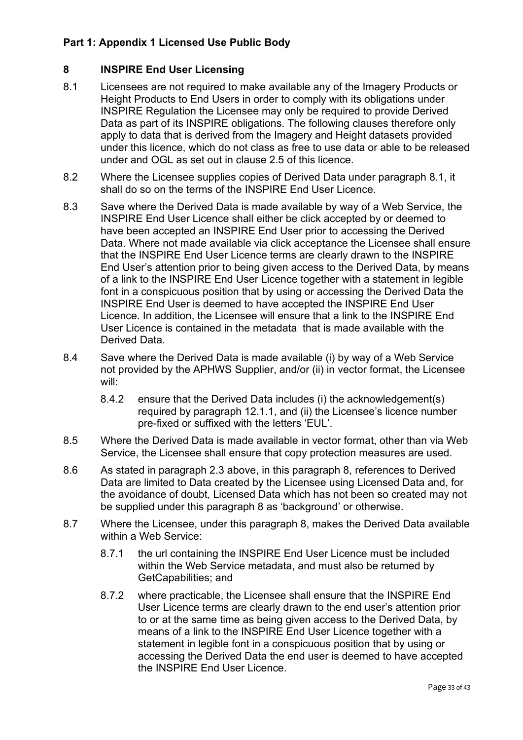## **8 INSPIRE End User Licensing**

- 8.1 Licensees are not required to make available any of the Imagery Products or Height Products to End Users in order to comply with its obligations under INSPIRE Regulation the Licensee may only be required to provide Derived Data as part of its INSPIRE obligations. The following clauses therefore only apply to data that is derived from the Imagery and Height datasets provided under this licence, which do not class as free to use data or able to be released under and OGL as set out in clause 2.5 of this licence.
- 8.2 Where the Licensee supplies copies of Derived Data under paragraph 8.1, it shall do so on the terms of the INSPIRE End User Licence.
- 8.3 Save where the Derived Data is made available by way of a Web Service, the INSPIRE End User Licence shall either be click accepted by or deemed to have been accepted an INSPIRE End User prior to accessing the Derived Data. Where not made available via click acceptance the Licensee shall ensure that the INSPIRE End User Licence terms are clearly drawn to the INSPIRE End User's attention prior to being given access to the Derived Data, by means of a link to the INSPIRE End User Licence together with a statement in legible font in a conspicuous position that by using or accessing the Derived Data the INSPIRE End User is deemed to have accepted the INSPIRE End User Licence. In addition, the Licensee will ensure that a link to the INSPIRE End User Licence is contained in the metadata that is made available with the Derived Data.
- 8.4 Save where the Derived Data is made available (i) by way of a Web Service not provided by the APHWS Supplier, and/or (ii) in vector format, the Licensee will:
	- 8.4.2 ensure that the Derived Data includes (i) the acknowledgement(s) required by paragraph 12.1.1, and (ii) the Licensee's licence number pre-fixed or suffixed with the letters 'EUL'.
- 8.5 Where the Derived Data is made available in vector format, other than via Web Service, the Licensee shall ensure that copy protection measures are used.
- 8.6 As stated in paragraph 2.3 above, in this paragraph 8, references to Derived Data are limited to Data created by the Licensee using Licensed Data and, for the avoidance of doubt, Licensed Data which has not been so created may not be supplied under this paragraph 8 as 'background' or otherwise.
- 8.7 Where the Licensee, under this paragraph 8, makes the Derived Data available within a Web Service:
	- 8.7.1 the url containing the INSPIRE End User Licence must be included within the Web Service metadata, and must also be returned by GetCapabilities; and
	- 8.7.2 where practicable, the Licensee shall ensure that the INSPIRE End User Licence terms are clearly drawn to the end user's attention prior to or at the same time as being given access to the Derived Data, by means of a link to the INSPIRE End User Licence together with a statement in legible font in a conspicuous position that by using or accessing the Derived Data the end user is deemed to have accepted the INSPIRE End User Licence.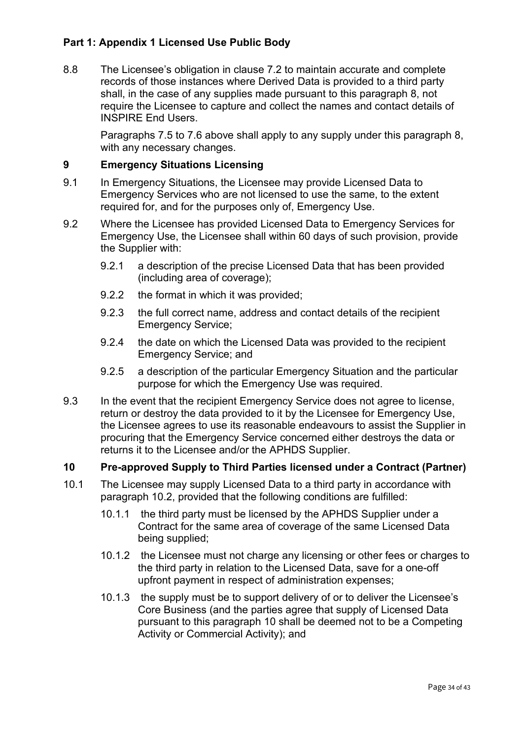8.8 The Licensee's obligation in clause 7.2 to maintain accurate and complete records of those instances where Derived Data is provided to a third party shall, in the case of any supplies made pursuant to this paragraph 8, not require the Licensee to capture and collect the names and contact details of INSPIRE End Users.

Paragraphs 7.5 to 7.6 above shall apply to any supply under this paragraph 8, with any necessary changes.

### **9 Emergency Situations Licensing**

- 9.1 In Emergency Situations, the Licensee may provide Licensed Data to Emergency Services who are not licensed to use the same, to the extent required for, and for the purposes only of, Emergency Use.
- 9.2 Where the Licensee has provided Licensed Data to Emergency Services for Emergency Use, the Licensee shall within 60 days of such provision, provide the Supplier with:
	- 9.2.1 a description of the precise Licensed Data that has been provided (including area of coverage);
	- 9.2.2 the format in which it was provided;
	- 9.2.3 the full correct name, address and contact details of the recipient Emergency Service;
	- 9.2.4 the date on which the Licensed Data was provided to the recipient Emergency Service; and
	- 9.2.5 a description of the particular Emergency Situation and the particular purpose for which the Emergency Use was required.
- 9.3 In the event that the recipient Emergency Service does not agree to license, return or destroy the data provided to it by the Licensee for Emergency Use, the Licensee agrees to use its reasonable endeavours to assist the Supplier in procuring that the Emergency Service concerned either destroys the data or returns it to the Licensee and/or the APHDS Supplier.

### **10 Pre-approved Supply to Third Parties licensed under a Contract (Partner)**

- 10.1 The Licensee may supply Licensed Data to a third party in accordance with paragraph 10.2, provided that the following conditions are fulfilled:
	- 10.1.1 the third party must be licensed by the APHDS Supplier under a Contract for the same area of coverage of the same Licensed Data being supplied;
	- 10.1.2 the Licensee must not charge any licensing or other fees or charges to the third party in relation to the Licensed Data, save for a one-off upfront payment in respect of administration expenses;
	- 10.1.3 the supply must be to support delivery of or to deliver the Licensee's Core Business (and the parties agree that supply of Licensed Data pursuant to this paragraph 10 shall be deemed not to be a Competing Activity or Commercial Activity); and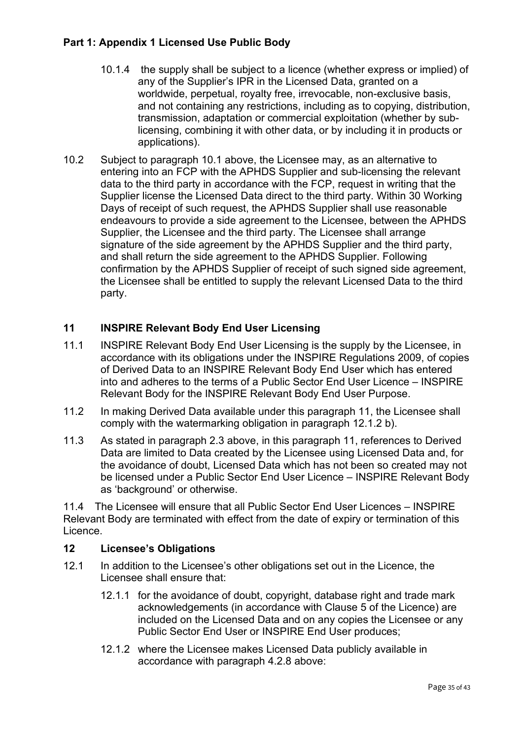- 10.1.4 the supply shall be subject to a licence (whether express or implied) of any of the Supplier's IPR in the Licensed Data, granted on a worldwide, perpetual, royalty free, irrevocable, non-exclusive basis, and not containing any restrictions, including as to copying, distribution, transmission, adaptation or commercial exploitation (whether by sublicensing, combining it with other data, or by including it in products or applications).
- 10.2 Subject to paragraph 10.1 above, the Licensee may, as an alternative to entering into an FCP with the APHDS Supplier and sub-licensing the relevant data to the third party in accordance with the FCP, request in writing that the Supplier license the Licensed Data direct to the third party. Within 30 Working Days of receipt of such request, the APHDS Supplier shall use reasonable endeavours to provide a side agreement to the Licensee, between the APHDS Supplier, the Licensee and the third party. The Licensee shall arrange signature of the side agreement by the APHDS Supplier and the third party, and shall return the side agreement to the APHDS Supplier. Following confirmation by the APHDS Supplier of receipt of such signed side agreement, the Licensee shall be entitled to supply the relevant Licensed Data to the third party.

# **11 INSPIRE Relevant Body End User Licensing**

- 11.1 INSPIRE Relevant Body End User Licensing is the supply by the Licensee, in accordance with its obligations under the INSPIRE Regulations 2009, of copies of Derived Data to an INSPIRE Relevant Body End User which has entered into and adheres to the terms of a Public Sector End User Licence – INSPIRE Relevant Body for the INSPIRE Relevant Body End User Purpose.
- 11.2 In making Derived Data available under this paragraph 11, the Licensee shall comply with the watermarking obligation in paragraph 12.1.2 b).
- 11.3 As stated in paragraph 2.3 above, in this paragraph 11, references to Derived Data are limited to Data created by the Licensee using Licensed Data and, for the avoidance of doubt, Licensed Data which has not been so created may not be licensed under a Public Sector End User Licence – INSPIRE Relevant Body as 'background' or otherwise.

11.4 The Licensee will ensure that all Public Sector End User Licences – INSPIRE Relevant Body are terminated with effect from the date of expiry or termination of this Licence.

#### **12 Licensee's Obligations**

- 12.1 In addition to the Licensee's other obligations set out in the Licence, the Licensee shall ensure that:
	- 12.1.1 for the avoidance of doubt, copyright, database right and trade mark acknowledgements (in accordance with Clause 5 of the Licence) are included on the Licensed Data and on any copies the Licensee or any Public Sector End User or INSPIRE End User produces;
	- 12.1.2 where the Licensee makes Licensed Data publicly available in accordance with paragraph 4.2.8 above: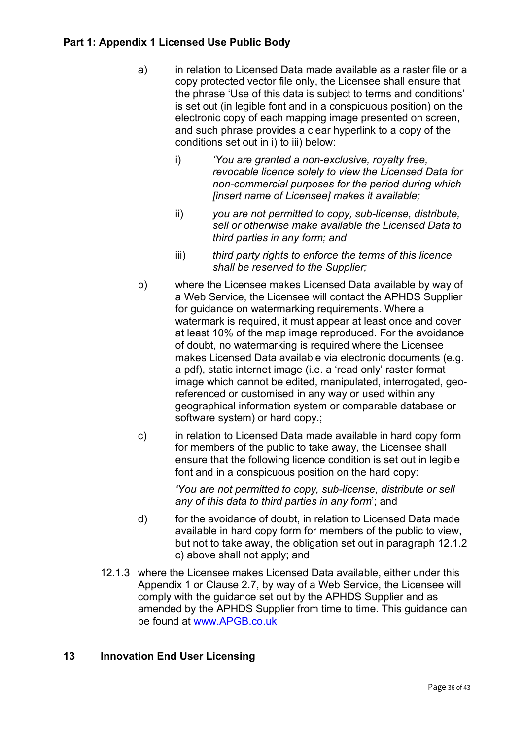- a) in relation to Licensed Data made available as a raster file or a copy protected vector file only, the Licensee shall ensure that the phrase 'Use of this data is subject to terms and conditions' is set out (in legible font and in a conspicuous position) on the electronic copy of each mapping image presented on screen, and such phrase provides a clear hyperlink to a copy of the conditions set out in i) to iii) below:
	- i) *'You are granted a non-exclusive, royalty free, revocable licence solely to view the Licensed Data for non-commercial purposes for the period during which [insert name of Licensee] makes it available;*
	- ii) *you are not permitted to copy, sub-license, distribute, sell or otherwise make available the Licensed Data to third parties in any form; and*
	- iii) *third party rights to enforce the terms of this licence shall be reserved to the Supplier;*
- b) where the Licensee makes Licensed Data available by way of a Web Service, the Licensee will contact the APHDS Supplier for guidance on watermarking requirements. Where a watermark is required, it must appear at least once and cover at least 10% of the map image reproduced. For the avoidance of doubt, no watermarking is required where the Licensee makes Licensed Data available via electronic documents (e.g. a pdf), static internet image (i.e. a 'read only' raster format image which cannot be edited, manipulated, interrogated, georeferenced or customised in any way or used within any geographical information system or comparable database or software system) or hard copy.;
- c) in relation to Licensed Data made available in hard copy form for members of the public to take away, the Licensee shall ensure that the following licence condition is set out in legible font and in a conspicuous position on the hard copy:

*'You are not permitted to copy, sub-license, distribute or sell any of this data to third parties in any form*'; and

- d) for the avoidance of doubt, in relation to Licensed Data made available in hard copy form for members of the public to view, but not to take away, the obligation set out in paragraph 12.1.2 c) above shall not apply; and
- 12.1.3 where the Licensee makes Licensed Data available, either under this Appendix 1 or Clause 2.7, by way of a Web Service, the Licensee will comply with the guidance set out by the APHDS Supplier and as amended by the APHDS Supplier from time to time. This guidance can be found at [www.APGB.co.uk](http://www.nextperspectives.co.uk/guidance)

# **13 Innovation End User Licensing**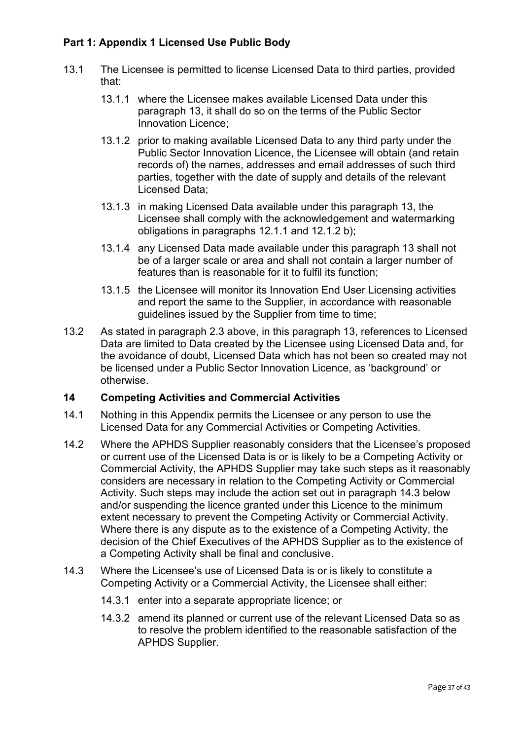- 13.1 The Licensee is permitted to license Licensed Data to third parties, provided that:
	- 13.1.1 where the Licensee makes available Licensed Data under this paragraph 13, it shall do so on the terms of the Public Sector Innovation Licence;
	- 13.1.2 prior to making available Licensed Data to any third party under the Public Sector Innovation Licence, the Licensee will obtain (and retain records of) the names, addresses and email addresses of such third parties, together with the date of supply and details of the relevant Licensed Data;
	- 13.1.3 in making Licensed Data available under this paragraph 13, the Licensee shall comply with the acknowledgement and watermarking obligations in paragraphs 12.1.1 and 12.1.2 b);
	- 13.1.4 any Licensed Data made available under this paragraph 13 shall not be of a larger scale or area and shall not contain a larger number of features than is reasonable for it to fulfil its function;
	- 13.1.5 the Licensee will monitor its Innovation End User Licensing activities and report the same to the Supplier, in accordance with reasonable guidelines issued by the Supplier from time to time;
- 13.2 As stated in paragraph 2.3 above, in this paragraph 13, references to Licensed Data are limited to Data created by the Licensee using Licensed Data and, for the avoidance of doubt, Licensed Data which has not been so created may not be licensed under a Public Sector Innovation Licence, as 'background' or otherwise.

#### **14 Competing Activities and Commercial Activities**

- 14.1 Nothing in this Appendix permits the Licensee or any person to use the Licensed Data for any Commercial Activities or Competing Activities.
- 14.2 Where the APHDS Supplier reasonably considers that the Licensee's proposed or current use of the Licensed Data is or is likely to be a Competing Activity or Commercial Activity, the APHDS Supplier may take such steps as it reasonably considers are necessary in relation to the Competing Activity or Commercial Activity. Such steps may include the action set out in paragraph 14.3 below and/or suspending the licence granted under this Licence to the minimum extent necessary to prevent the Competing Activity or Commercial Activity. Where there is any dispute as to the existence of a Competing Activity, the decision of the Chief Executives of the APHDS Supplier as to the existence of a Competing Activity shall be final and conclusive.
- 14.3 Where the Licensee's use of Licensed Data is or is likely to constitute a Competing Activity or a Commercial Activity, the Licensee shall either:
	- 14.3.1 enter into a separate appropriate licence; or
	- 14.3.2 amend its planned or current use of the relevant Licensed Data so as to resolve the problem identified to the reasonable satisfaction of the APHDS Supplier.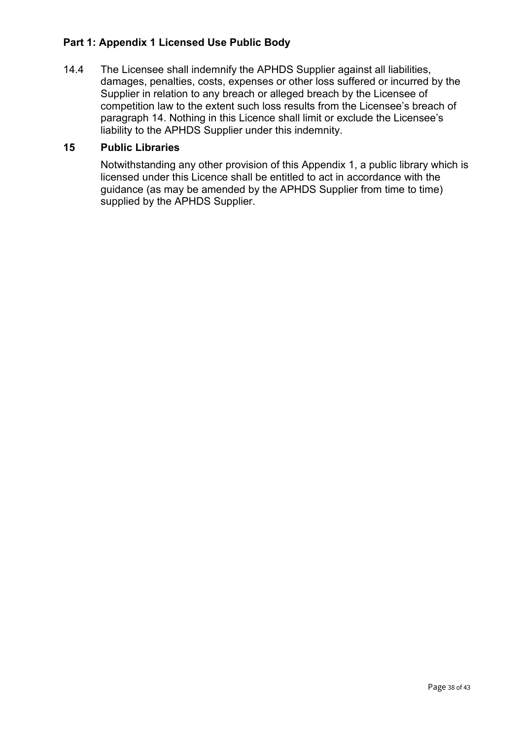14.4 The Licensee shall indemnify the APHDS Supplier against all liabilities, damages, penalties, costs, expenses or other loss suffered or incurred by the Supplier in relation to any breach or alleged breach by the Licensee of competition law to the extent such loss results from the Licensee's breach of paragraph 14. Nothing in this Licence shall limit or exclude the Licensee's liability to the APHDS Supplier under this indemnity.

#### **15 Public Libraries**

Notwithstanding any other provision of this Appendix 1, a public library which is licensed under this Licence shall be entitled to act in accordance with the guidance (as may be amended by the APHDS Supplier from time to time) supplied by the APHDS Supplier.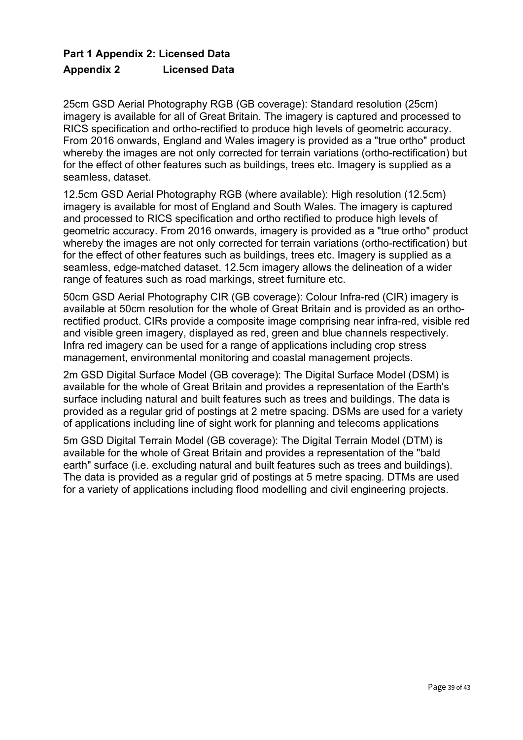# **Part 1 Appendix 2: Licensed Data Appendix 2 Licensed Data**

25cm GSD Aerial Photography RGB (GB coverage): Standard resolution (25cm) imagery is available for all of Great Britain. The imagery is captured and processed to RICS specification and ortho-rectified to produce high levels of geometric accuracy. From 2016 onwards, England and Wales imagery is provided as a "true ortho" product whereby the images are not only corrected for terrain variations (ortho-rectification) but for the effect of other features such as buildings, trees etc. Imagery is supplied as a seamless, dataset.

12.5cm GSD Aerial Photography RGB (where available): High resolution (12.5cm) imagery is available for most of England and South Wales. The imagery is captured and processed to RICS specification and ortho rectified to produce high levels of geometric accuracy. From 2016 onwards, imagery is provided as a "true ortho" product whereby the images are not only corrected for terrain variations (ortho-rectification) but for the effect of other features such as buildings, trees etc. Imagery is supplied as a seamless, edge-matched dataset. 12.5cm imagery allows the delineation of a wider range of features such as road markings, street furniture etc.

50cm GSD Aerial Photography CIR (GB coverage): Colour Infra-red (CIR) imagery is available at 50cm resolution for the whole of Great Britain and is provided as an orthorectified product. CIRs provide a composite image comprising near infra-red, visible red and visible green imagery, displayed as red, green and blue channels respectively. Infra red imagery can be used for a range of applications including crop stress management, environmental monitoring and coastal management projects.

2m GSD Digital Surface Model (GB coverage): The Digital Surface Model (DSM) is available for the whole of Great Britain and provides a representation of the Earth's surface including natural and built features such as trees and buildings. The data is provided as a regular grid of postings at 2 metre spacing. DSMs are used for a variety of applications including line of sight work for planning and telecoms applications

5m GSD Digital Terrain Model (GB coverage): The Digital Terrain Model (DTM) is available for the whole of Great Britain and provides a representation of the "bald earth" surface (i.e. excluding natural and built features such as trees and buildings). The data is provided as a regular grid of postings at 5 metre spacing. DTMs are used for a variety of applications including flood modelling and civil engineering projects.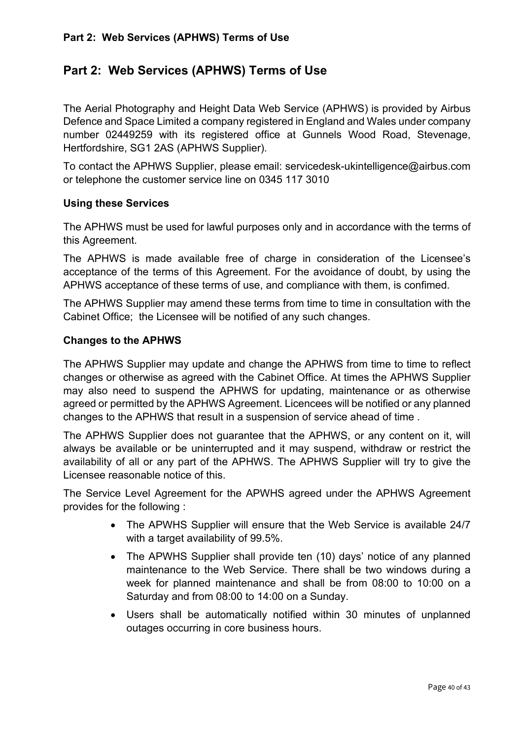# **Part 2: Web Services (APHWS) Terms of Use**

The Aerial Photography and Height Data Web Service (APHWS) is provided by Airbus Defence and Space Limited a company registered in England and Wales under company number 02449259 with its registered office at Gunnels Wood Road, Stevenage, Hertfordshire, SG1 2AS (APHWS Supplier).

To contact the APHWS Supplier, please email: [servicedesk-ukintelligence@airbus.com](mailto:servicedesk-ukintelligence@airbus.com) or telephone the customer service line on 0345 117 3010

#### **Using these Services**

The APHWS must be used for lawful purposes only and in accordance with the terms of this Agreement.

The APHWS is made available free of charge in consideration of the Licensee's acceptance of the terms of this Agreement. For the avoidance of doubt, by using the APHWS acceptance of these terms of use, and compliance with them, is confimed.

The APHWS Supplier may amend these terms from time to time in consultation with the Cabinet Office; the Licensee will be notified of any such changes.

#### **Changes to the APHWS**

The APHWS Supplier may update and change the APHWS from time to time to reflect changes or otherwise as agreed with the Cabinet Office. At times the APHWS Supplier may also need to suspend the APHWS for updating, maintenance or as otherwise agreed or permitted by the APHWS Agreement. Licencees will be notified or any planned changes to the APHWS that result in a suspension of service ahead of time .

The APHWS Supplier does not guarantee that the APHWS, or any content on it, will always be available or be uninterrupted and it may suspend, withdraw or restrict the availability of all or any part of the APHWS. The APHWS Supplier will try to give the Licensee reasonable notice of this.

The Service Level Agreement for the APWHS agreed under the APHWS Agreement provides for the following :

- The APWHS Supplier will ensure that the Web Service is available 24/7 with a target availability of 99.5%.
- The APWHS Supplier shall provide ten (10) days' notice of any planned maintenance to the Web Service. There shall be two windows during a week for planned maintenance and shall be from 08:00 to 10:00 on a Saturday and from 08:00 to 14:00 on a Sunday.
- Users shall be automatically notified within 30 minutes of unplanned outages occurring in core business hours.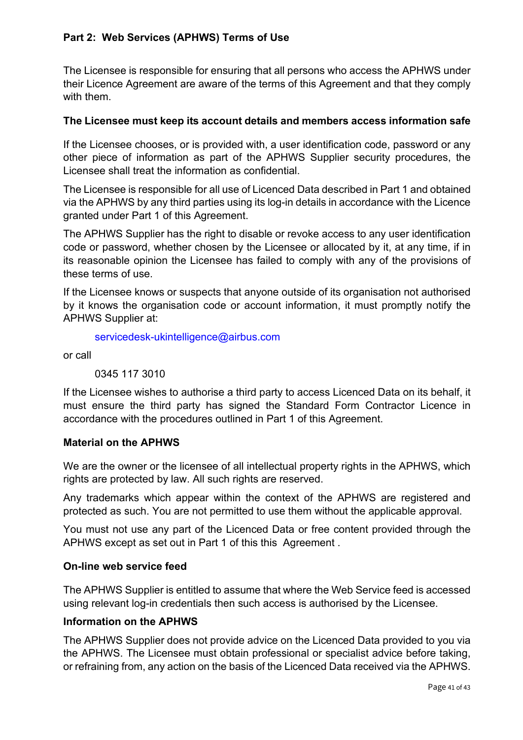The Licensee is responsible for ensuring that all persons who access the APHWS under their Licence Agreement are aware of the terms of this Agreement and that they comply with them.

#### **The Licensee must keep its account details and members access information safe**

If the Licensee chooses, or is provided with, a user identification code, password or any other piece of information as part of the APHWS Supplier security procedures, the Licensee shall treat the information as confidential.

The Licensee is responsible for all use of Licenced Data described in Part 1 and obtained via the APHWS by any third parties using its log-in details in accordance with the Licence granted under Part 1 of this Agreement.

The APHWS Supplier has the right to disable or revoke access to any user identification code or password, whether chosen by the Licensee or allocated by it, at any time, if in its reasonable opinion the Licensee has failed to comply with any of the provisions of these terms of use.

If the Licensee knows or suspects that anyone outside of its organisation not authorised by it knows the organisation code or account information, it must promptly notify the APHWS Supplier at:

[servicedesk-ukintelligence@airbus.com](mailto:servicedesk-ukintelligence@airbus.com)

or call

0345 117 3010

If the Licensee wishes to authorise a third party to access Licenced Data on its behalf, it must ensure the third party has signed the Standard Form Contractor Licence in accordance with the procedures outlined in Part 1 of this Agreement.

#### **Material on the APHWS**

We are the owner or the licensee of all intellectual property rights in the APHWS, which rights are protected by law. All such rights are reserved.

Any trademarks which appear within the context of the APHWS are registered and protected as such. You are not permitted to use them without the applicable approval.

You must not use any part of the Licenced Data or free content provided through the APHWS except as set out in Part 1 of this this Agreement .

#### **On-line web service feed**

The APHWS Supplier is entitled to assume that where the Web Service feed is accessed using relevant log-in credentials then such access is authorised by the Licensee.

#### **Information on the APHWS**

The APHWS Supplier does not provide advice on the Licenced Data provided to you via the APHWS. The Licensee must obtain professional or specialist advice before taking, or refraining from, any action on the basis of the Licenced Data received via the APHWS.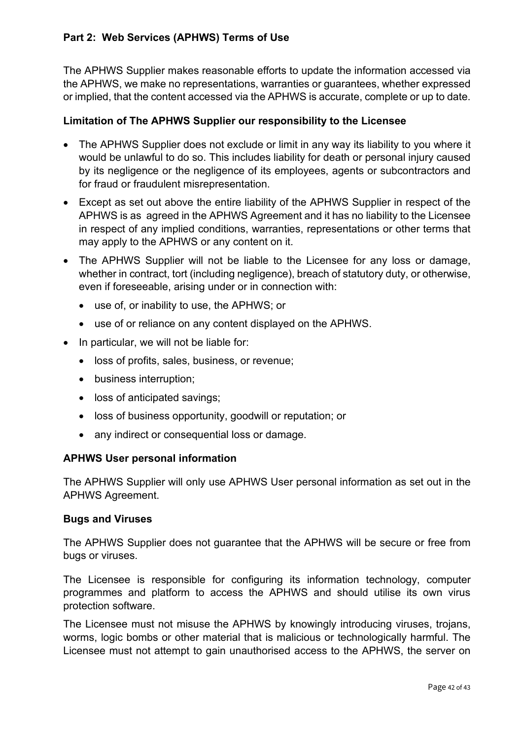The APHWS Supplier makes reasonable efforts to update the information accessed via the APHWS, we make no representations, warranties or guarantees, whether expressed or implied, that the content accessed via the APHWS is accurate, complete or up to date.

### **Limitation of The APHWS Supplier our responsibility to the Licensee**

- The APHWS Supplier does not exclude or limit in any way its liability to you where it would be unlawful to do so. This includes liability for death or personal injury caused by its negligence or the negligence of its employees, agents or subcontractors and for fraud or fraudulent misrepresentation.
- Except as set out above the entire liability of the APHWS Supplier in respect of the APHWS is as agreed in the APHWS Agreement and it has no liability to the Licensee in respect of any implied conditions, warranties, representations or other terms that may apply to the APHWS or any content on it.
- The APHWS Supplier will not be liable to the Licensee for any loss or damage, whether in contract, tort (including negligence), breach of statutory duty, or otherwise, even if foreseeable, arising under or in connection with:
	- use of, or inability to use, the APHWS; or
	- use of or reliance on any content displayed on the APHWS.
- In particular, we will not be liable for:
	- loss of profits, sales, business, or revenue;
	- business interruption;
	- loss of anticipated savings;
	- loss of business opportunity, goodwill or reputation; or
	- any indirect or consequential loss or damage.

#### **APHWS User personal information**

The APHWS Supplier will only use APHWS User personal information as set out in the APHWS Agreement.

#### **Bugs and Viruses**

The APHWS Supplier does not guarantee that the APHWS will be secure or free from bugs or viruses.

The Licensee is responsible for configuring its information technology, computer programmes and platform to access the APHWS and should utilise its own virus protection software.

The Licensee must not misuse the APHWS by knowingly introducing viruses, trojans, worms, logic bombs or other material that is malicious or technologically harmful. The Licensee must not attempt to gain unauthorised access to the APHWS, the server on